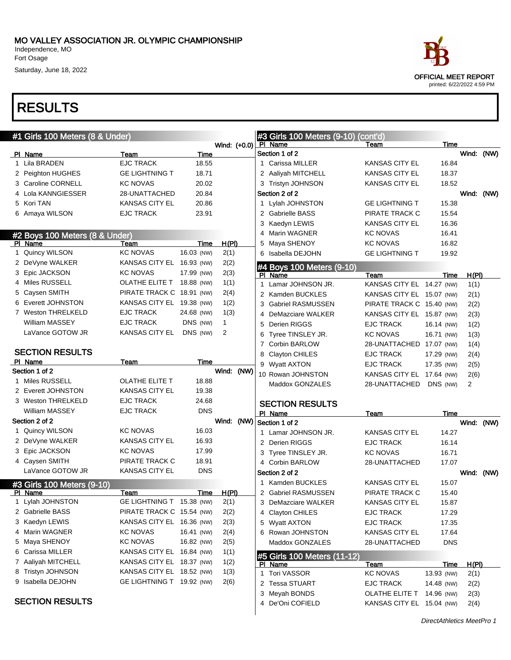# RESULTS

|   | #1 Girls 100 Meters (8 & Under) |                           |            |              |  | #3 Girls 100 Meters (9-10) (cont'd)    |                           |             |            |      |
|---|---------------------------------|---------------------------|------------|--------------|--|----------------------------------------|---------------------------|-------------|------------|------|
|   |                                 |                           |            | Wind: (+0.0) |  | PI Name                                | Team                      | Time        |            |      |
|   | PI Name                         | <b>Team</b>               | Time       |              |  | Section 1 of 2                         |                           |             | Wind: (NW) |      |
|   | 1 Lila BRADEN                   | <b>EJC TRACK</b>          | 18.55      |              |  | 1 Carissa MILLER                       | <b>KANSAS CITY EL</b>     | 16.84       |            |      |
|   | 2 Peighton HUGHES               | <b>GE LIGHTNING T</b>     | 18.71      |              |  | 2 Aaliyah MITCHELL                     | <b>KANSAS CITY EL</b>     | 18.37       |            |      |
|   | 3 Caroline CORNELL              | <b>KC NOVAS</b>           | 20.02      |              |  | 3 Tristyn JOHNSON                      | <b>KANSAS CITY EL</b>     | 18.52       |            |      |
|   | 4 Lola KANNGIESSER              | 28-UNATTACHED             | 20.84      |              |  | Section 2 of 2                         |                           |             | Wind: (NW) |      |
|   | 5 Kori TAN                      | <b>KANSAS CITY EL</b>     | 20.86      |              |  | 1 Lylah JOHNSTON                       | <b>GE LIGHTNING T</b>     | 15.38       |            |      |
|   | 6 Amaya WILSON                  | <b>EJC TRACK</b>          | 23.91      |              |  | 2 Gabrielle BASS                       | PIRATE TRACK C            | 15.54       |            |      |
|   |                                 |                           |            |              |  | 3 Kaedyn LEWIS                         | <b>KANSAS CITY EL</b>     | 16.36       |            |      |
|   | #2 Boys 100 Meters (8 & Under)  |                           |            |              |  | 4 Marin WAGNER                         | <b>KC NOVAS</b>           | 16.41       |            |      |
|   | PI Name                         | Team                      | Time       | H(PI)        |  | 5 Maya SHENOY                          | <b>KC NOVAS</b>           | 16.82       |            |      |
|   | 1 Quincy WILSON                 | <b>KC NOVAS</b>           | 16.03 (NW) | 2(1)         |  | 6 Isabella DEJOHN                      | <b>GE LIGHTNING T</b>     | 19.92       |            |      |
|   | 2 DeVyne WALKER                 | KANSAS CITY EL 16.93 (NW) |            | 2(2)         |  | #4 Boys 100 Meters (9-10)              |                           |             |            |      |
|   | 3 Epic JACKSON                  | <b>KC NOVAS</b>           | 17.99 (NW) | 2(3)         |  | PI Name                                | Team                      | Time        | H(PI)      |      |
|   | 4 Miles RUSSELL                 | OLATHE ELITE T            | 18.88 (NW) | 1(1)         |  | 1 Lamar JOHNSON JR.                    | KANSAS CITY EL 14.27 (NW) |             | 1(1)       |      |
|   | 5 Caysen SMITH                  | PIRATE TRACK C 18.91 (NW) |            | 2(4)         |  | 2 Kamden BUCKLES                       | KANSAS CITY EL 15.07 (NW) |             | 2(1)       |      |
|   | 6 Everett JOHNSTON              | KANSAS CITY EL 19.38 (NW) |            | 1(2)         |  | 3 Gabriel RASMUSSEN                    | PIRATE TRACK C 15.40 (NW) |             | 2(2)       |      |
|   | 7 Weston THRELKELD              | <b>EJC TRACK</b>          | 24.68 (NW) | 1(3)         |  | 4 DeMazciare WALKER                    | KANSAS CITY EL 15.87 (NW) |             | 2(3)       |      |
|   | William MASSEY                  | <b>EJC TRACK</b>          | DNS (NW)   | $\mathbf{1}$ |  | 5 Derien RIGGS                         | <b>EJC TRACK</b>          | 16.14 (NW)  | 1(2)       |      |
|   | LaVance GOTOW JR                | <b>KANSAS CITY EL</b>     | DNS (NW)   | 2            |  | 6 Tyree TINSLEY JR.                    | <b>KC NOVAS</b>           | 16.71 (NW)  | 1(3)       |      |
|   |                                 |                           |            |              |  | 7 Corbin BARLOW                        | 28-UNATTACHED 17.07 (NW)  |             | 1(4)       |      |
|   | <b>SECTION RESULTS</b>          |                           |            |              |  | 8 Clayton CHILES                       | <b>EJC TRACK</b>          | 17.29 (NW)  | 2(4)       |      |
|   | PI Name                         | Team                      | Time       |              |  | 9 Wyatt AXTON                          | <b>EJC TRACK</b>          | 17.35 (NW)  | 2(5)       |      |
|   | Section 1 of 2                  |                           |            | Wind: (NW)   |  | 10 Rowan JOHNSTON                      | KANSAS CITY EL 17.64 (NW) |             | 2(6)       |      |
|   | 1 Miles RUSSELL                 | OLATHE ELITE T            | 18.88      |              |  | Maddox GONZALES                        | 28-UNATTACHED             | DNS (NW)    | 2          |      |
|   | 2 Everett JOHNSTON              | <b>KANSAS CITY EL</b>     | 19.38      |              |  |                                        |                           |             |            |      |
|   | 3 Weston THRELKELD              | <b>EJC TRACK</b>          | 24.68      |              |  | <b>SECTION RESULTS</b>                 |                           |             |            |      |
|   | <b>William MASSEY</b>           | <b>EJC TRACK</b>          | <b>DNS</b> |              |  | PI Name                                | Team                      | Time        |            |      |
|   | Section 2 of 2                  |                           |            | Wind: (NW)   |  | Section 1 of 2                         |                           |             | Wind:      | (NW) |
|   | 1 Quincy WILSON                 | <b>KC NOVAS</b>           | 16.03      |              |  | 1 Lamar JOHNSON JR.                    | <b>KANSAS CITY EL</b>     | 14.27       |            |      |
|   | 2 DeVyne WALKER                 | KANSAS CITY EL            | 16.93      |              |  | 2 Derien RIGGS                         | <b>EJC TRACK</b>          | 16.14       |            |      |
|   | 3 Epic JACKSON                  | <b>KC NOVAS</b>           | 17.99      |              |  | 3 Tyree TINSLEY JR.                    | <b>KC NOVAS</b>           | 16.71       |            |      |
|   | 4 Caysen SMITH                  | PIRATE TRACK C            | 18.91      |              |  | 4 Corbin BARLOW                        | 28-UNATTACHED             | 17.07       |            |      |
|   | LaVance GOTOW JR                | <b>KANSAS CITY EL</b>     | <b>DNS</b> |              |  | Section 2 of 2                         |                           |             | Wind: (NW) |      |
|   | #3 Girls 100 Meters (9-10)      |                           |            |              |  | 1 Kamden BUCKLES                       | <b>KANSAS CITY EL</b>     | 15.07       |            |      |
|   | PI Name                         | Team                      | Time       | <u>H(PI)</u> |  | 2 Gabriel RASMUSSEN                    | PIRATE TRACK C            | 15.40       |            |      |
|   | Lylah JOHNSTON                  | GE LIGHTNING T 15.38 (NW) |            | 2(1)         |  | 3 DeMazciare WALKER                    | <b>KANSAS CITY EL</b>     | 15.87       |            |      |
|   | 2 Gabrielle BASS                | PIRATE TRACK C 15.54 (NW) |            | 2(2)         |  | 4 Clayton CHILES                       | EJC TRACK                 | 17.29       |            |      |
|   | 3 Kaedyn LEWIS                  | KANSAS CITY EL 16.36 (NW) |            | 2(3)         |  | 5 Wyatt AXTON                          | <b>EJC TRACK</b>          | 17.35       |            |      |
|   | 4 Marin WAGNER                  | <b>KC NOVAS</b>           | 16.41 (NW) | 2(4)         |  | 6 Rowan JOHNSTON                       | <b>KANSAS CITY EL</b>     | 17.64       |            |      |
|   | 5 Maya SHENOY                   | <b>KC NOVAS</b>           | 16.82 (NW) | 2(5)         |  | Maddox GONZALES                        | 28-UNATTACHED             | <b>DNS</b>  |            |      |
| 6 | Carissa MILLER                  | KANSAS CITY EL 16.84 (NW) |            | 1(1)         |  |                                        |                           |             |            |      |
|   | 7 Aaliyah MITCHELL              | KANSAS CITY EL 18.37 (NW) |            | 1(2)         |  | #5 Girls 100 Meters (11-12)<br>PI Name | Team                      | <b>Time</b> | H(PI)      |      |
|   | 8 Tristyn JOHNSON               | KANSAS CITY EL 18.52 (NW) |            | 1(3)         |  | 1 Tori VASSOR                          | <b>KC NOVAS</b>           | 13.93 (NW)  | 2(1)       |      |
|   | 9 Isabella DEJOHN               | GE LIGHTNING T 19.92 (NW) |            | 2(6)         |  | 2 Tessa STUART                         | <b>EJC TRACK</b>          | 14.48 (NW)  | 2(2)       |      |
|   |                                 |                           |            |              |  | 3 Meyah BONDS                          | OLATHE ELITE T            | 14.96 (NW)  | 2(3)       |      |
|   | <b>SECTION RESULTS</b>          |                           |            |              |  | 4 De'Oni COFIELD                       | KANSAS CITY EL 15.04 (NW) |             | 2(4)       |      |



printed: 6/22/2022 4:59 PM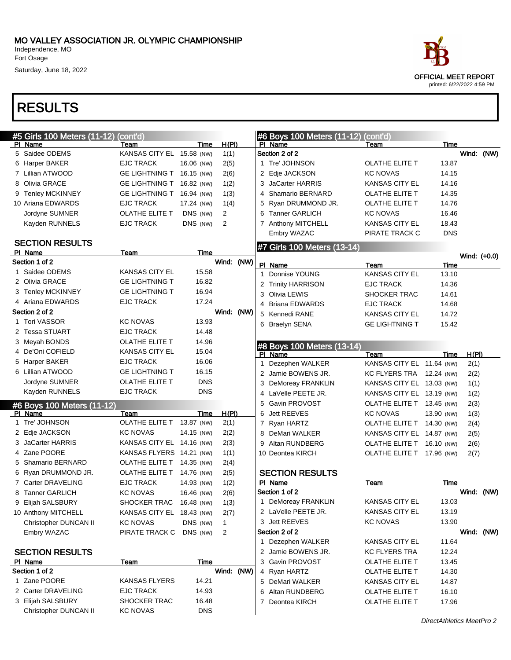

| #5 Girls 100 Meters (11-12) | (cont'd)                  |            |                |    | #6 Boys 100 Meters (11-12) (cont'd) |                           |            |              |  |
|-----------------------------|---------------------------|------------|----------------|----|-------------------------------------|---------------------------|------------|--------------|--|
| PI Name                     | Team                      | Time       | H(PI)          |    | PI Name                             | Team                      | Time       |              |  |
| 5 Saidee ODEMS              | KANSAS CITY EL 15.58 (NW) |            | 1(1)           |    | Section 2 of 2                      |                           |            | Wind: (NW)   |  |
| 6 Harper BAKER              | <b>EJC TRACK</b>          | 16.06 (NW) | 2(5)           |    | 1 Tre' JOHNSON                      | OLATHE ELITE T            | 13.87      |              |  |
| 7 Lillian ATWOOD            | GE LIGHTNING T 16.15 (NW) |            | 2(6)           |    | 2 Edje JACKSON                      | <b>KC NOVAS</b>           | 14.15      |              |  |
| 8 Olivia GRACE              | GE LIGHTNING T 16.82 (NW) |            | 1(2)           | 3. | JaCarter HARRIS                     | <b>KANSAS CITY EL</b>     | 14.16      |              |  |
| 9 Tenley MCKINNEY           | GE LIGHTNING T 16.94 (NW) |            | 1(3)           |    | 4 Shamario BERNARD                  | OLATHE ELITE T            | 14.35      |              |  |
| 10 Ariana EDWARDS           | <b>EJC TRACK</b>          | 17.24 (NW) | 1(4)           |    | 5 Ryan DRUMMOND JR.                 | OLATHE ELITE T            | 14.76      |              |  |
| Jordyne SUMNER              | OLATHE ELITE T            | DNS (NW)   | $\overline{2}$ | 6  | <b>Tanner GARLICH</b>               | <b>KC NOVAS</b>           | 16.46      |              |  |
| Kayden RUNNELS              | <b>EJC TRACK</b>          | DNS (NW)   | 2              |    | 7 Anthony MITCHELL                  | <b>KANSAS CITY EL</b>     | 18.43      |              |  |
|                             |                           |            |                |    | Embry WAZAC                         | PIRATE TRACK C            | <b>DNS</b> |              |  |
| <b>SECTION RESULTS</b>      |                           |            |                |    | #7 Girls 100 Meters (13-14)         |                           |            |              |  |
| PI Name                     | Team                      | Time       |                |    |                                     |                           |            | Wind: (+0.0) |  |
| Section 1 of 2              |                           |            | Wind: (NW)     |    | PI Name                             | Team                      | Time       |              |  |
| 1 Saidee ODEMS              | <b>KANSAS CITY EL</b>     | 15.58      |                |    | 1 Donnise YOUNG                     | <b>KANSAS CITY EL</b>     | 13.10      |              |  |
| 2 Olivia GRACE              | <b>GE LIGHTNING T</b>     | 16.82      |                |    | 2 Trinity HARRISON                  | <b>EJC TRACK</b>          | 14.36      |              |  |
| 3 Tenley MCKINNEY           | <b>GE LIGHTNING T</b>     | 16.94      |                | 3  | Olivia LEWIS                        | <b>SHOCKER TRAC</b>       | 14.61      |              |  |
| 4 Ariana EDWARDS            | <b>EJC TRACK</b>          | 17.24      |                |    | 4 Briana EDWARDS                    | <b>EJC TRACK</b>          | 14.68      |              |  |
| Section 2 of 2              |                           |            | Wind: (NW)     |    | 5 Kennedi RANE                      | <b>KANSAS CITY EL</b>     | 14.72      |              |  |
| 1 Tori VASSOR               | <b>KC NOVAS</b>           | 13.93      |                |    | 6 Braelyn SENA                      | <b>GE LIGHTNING T</b>     | 15.42      |              |  |
| 2 Tessa STUART              | <b>EJC TRACK</b>          | 14.48      |                |    |                                     |                           |            |              |  |
| 3 Meyah BONDS               | OLATHE ELITE T            | 14.96      |                |    | #8 Boys 100 Meters (13-14)          |                           |            |              |  |
| 4 De'Oni COFIELD            | <b>KANSAS CITY EL</b>     | 15.04      |                |    | PI Name                             | Team                      | Time       | <u>H(PI)</u> |  |
| 5 Harper BAKER              | <b>EJC TRACK</b>          | 16.06      |                | 1. | Dezephen WALKER                     | KANSAS CITY EL 11.64 (NW) |            | 2(1)         |  |
| 6 Lillian ATWOOD            | <b>GE LIGHTNING T</b>     | 16.15      |                |    | 2 Jamie BOWENS JR.                  | KC FLYERS TRA 12.24 (NW)  |            | 2(2)         |  |
| Jordyne SUMNER              | OLATHE ELITE T            | <b>DNS</b> |                | 3  | <b>DeMoreay FRANKLIN</b>            | KANSAS CITY EL 13.03 (NW) |            | 1(1)         |  |
| Kayden RUNNELS              | <b>EJC TRACK</b>          | <b>DNS</b> |                |    | 4 LaVelle PEETE JR.                 | KANSAS CITY EL 13.19 (NW) |            | 1(2)         |  |
| #6 Boys 100 Meters (11-12)  |                           |            |                | 5  | Gavin PROVOST                       | OLATHE ELITE T 13.45 (NW) |            | 2(3)         |  |
| PI Name                     | Team                      | Time       | H(PI)          | 6  | Jett REEVES                         | <b>KC NOVAS</b>           | 13.90 (NW) | 1(3)         |  |
| 1 Tre' JOHNSON              | OLATHE ELITE T            | 13.87 (NW) | 2(1)           |    | 7 Ryan HARTZ                        | OLATHE ELITE T 14.30 (NW) |            | 2(4)         |  |
| 2 Edje JACKSON              | <b>KC NOVAS</b>           | 14.15 (NW) | 2(2)           |    | 8 DeMari WALKER                     | KANSAS CITY EL 14.87 (NW) |            | 2(5)         |  |
| 3 JaCarter HARRIS           | KANSAS CITY EL 14.16 (NW) |            | 2(3)           | 9  | Altan RUNDBERG                      | OLATHE ELITE T 16.10 (NW) |            | 2(6)         |  |
| 4 Zane POORE                | KANSAS FLYERS 14.21 (NW)  |            | 1(1)           |    | 10 Deontea KIRCH                    | OLATHE ELITE T 17.96 (NW) |            | 2(7)         |  |
| 5 Shamario BERNARD          | OLATHE ELITE T 14.35 (NW) |            | 2(4)           |    |                                     |                           |            |              |  |
| 6 Ryan DRUMMOND JR.         | OLATHE ELITE T 14.76 (NW) |            | 2(5)           |    | <b>SECTION RESULTS</b>              |                           |            |              |  |
| 7 Carter DRAVELING          | <b>EJC TRACK</b>          | 14.93 (NW) | 1(2)           |    | PI Name                             | Team                      | Time       |              |  |
| 8 Tanner GARLICH            | <b>KC NOVAS</b>           | 16.46 (NW) | 2(6)           |    | Section 1 of 2                      |                           |            | Wind: (NW)   |  |
| 9 Elijah SALSBURY           | SHOCKER TRAC 16.48 (NW)   |            | 1(3)           |    | 1 DeMoreay FRANKLIN                 | <b>KANSAS CITY EL</b>     | 13.03      |              |  |
| 10 Anthony MITCHELL         | KANSAS CITY EL 18.43 (NW) |            | 2(7)           |    | 2 LaVelle PEETE JR.                 | KANSAS CITY EL            | 13.19      |              |  |
| Christopher DUNCAN II       | <b>KC NOVAS</b>           | DNS (NW)   | $\mathbf 1$    |    | 3 Jett REEVES                       | <b>KC NOVAS</b>           | 13.90      |              |  |
| Embry WAZAC                 | PIRATE TRACK C            | DNS (NW)   | 2              |    | Section 2 of 2                      |                           |            | Wind: (NW)   |  |
|                             |                           |            |                |    | 1 Dezephen WALKER                   | KANSAS CITY EL            | 11.64      |              |  |
| <b>SECTION RESULTS</b>      |                           |            |                |    | 2 Jamie BOWENS JR.                  | <b>KC FLYERS TRA</b>      | 12.24      |              |  |
| PI Name                     | Team                      | Time       |                |    | 3 Gavin PROVOST                     | OLATHE ELITE T            | 13.45      |              |  |
| Section 1 of 2              |                           |            | Wind: (NW)     |    | 4 Ryan HARTZ                        | OLATHE ELITE T            | 14.30      |              |  |
| 1 Zane POORE                | <b>KANSAS FLYERS</b>      | 14.21      |                |    | 5 DeMari WALKER                     | <b>KANSAS CITY EL</b>     | 14.87      |              |  |
| 2 Carter DRAVELING          | EJC TRACK                 | 14.93      |                |    | 6 Altan RUNDBERG                    | OLATHE ELITE T            | 16.10      |              |  |
| 3 Elijah SALSBURY           | <b>SHOCKER TRAC</b>       | 16.48      |                |    | 7 Deontea KIRCH                     | OLATHE ELITE T            | 17.96      |              |  |
| Christopher DUNCAN II       | <b>KC NOVAS</b>           | <b>DNS</b> |                |    |                                     |                           |            |              |  |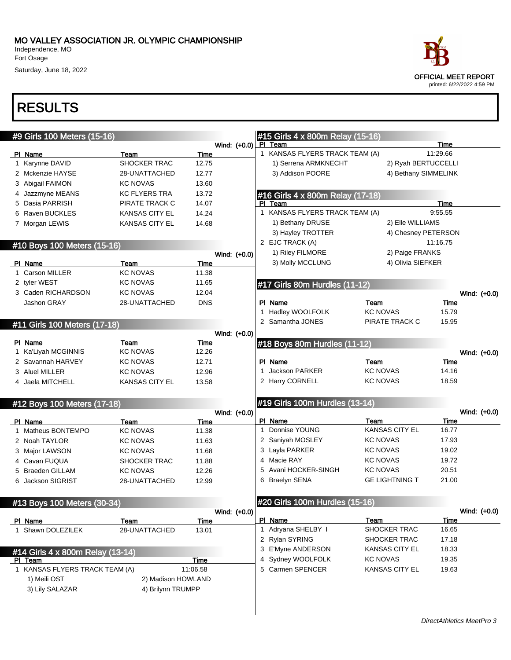Fort Osage Saturday, June 18, 2022



| #9 Girls 100 Meters (15-16)                 |                         |                      |                | #15 Girls 4 x 800m Relay (15-16)          |                         |                 |              |
|---------------------------------------------|-------------------------|----------------------|----------------|-------------------------------------------|-------------------------|-----------------|--------------|
|                                             |                         |                      | Wind: $(+0.0)$ | PI Team                                   |                         | <b>Time</b>     |              |
| PI Name                                     | Team                    | Time                 |                | 1 KANSAS FLYERS TRACK TEAM (A)            |                         | 11:29.66        |              |
| 1 Karynne DAVID                             | SHOCKER TRAC            | 12.75                |                | 1) Serrena ARMKNECHT                      | 2) Ryah BERTUCCELLI     |                 |              |
| 2 Mckenzie HAYSE                            | 28-UNATTACHED           | 12.77                |                | 3) Addison POORE                          | 4) Bethany SIMMELINK    |                 |              |
| 3 Abigail FAIMON                            | <b>KC NOVAS</b>         | 13.60<br>13.72       |                |                                           |                         |                 |              |
| Jazzmyne MEANS                              | <b>KC FLYERS TRA</b>    |                      |                | #16 Girls 4 x 800m Relay (17-18)          |                         |                 |              |
| Dasia PARRISH                               | PIRATE TRACK C          | 14.07                |                | PI Team<br>1 KANSAS FLYERS TRACK TEAM (A) |                         | Time<br>9:55.55 |              |
| Raven BUCKLES                               | <b>KANSAS CITY EL</b>   | 14.24                |                |                                           | 2) Elle WILLIAMS        |                 |              |
| 7 Morgan LEWIS                              | <b>KANSAS CITY EL</b>   | 14.68                |                | 1) Bethany DRUSE                          |                         |                 |              |
|                                             |                         |                      |                | 3) Hayley TROTTER<br>2 EJC TRACK (A)      | 4) Chesney PETERSON     | 11:16.75        |              |
| #10 Boys 100 Meters (15-16)                 |                         |                      |                |                                           |                         |                 |              |
|                                             |                         |                      | Wind: (+0.0)   | 1) Riley FILMORE                          | 2) Paige FRANKS         |                 |              |
| PI Name                                     | Team                    | <b>Time</b>          |                | 3) Molly MCCLUNG                          | 4) Olivia SIEFKER       |                 |              |
| 1 Carson MILLER                             | <b>KC NOVAS</b>         | 11.38                |                |                                           |                         |                 |              |
| 2 tyler WEST                                | <b>KC NOVAS</b>         | 11.65                |                | #17 Girls 80m Hurdles (11-12)             |                         |                 |              |
| 3 Caden RICHARDSON                          | <b>KC NOVAS</b>         | 12.04                |                |                                           |                         |                 | Wind: (+0.0) |
| Jashon GRAY                                 | 28-UNATTACHED           | <b>DNS</b>           |                | PI Name<br>1 Hadley WOOLFOLK              | Team<br><b>KC NOVAS</b> | Time            |              |
|                                             |                         |                      |                |                                           |                         | 15.79           |              |
| #11 Girls 100 Meters (17-18)                |                         |                      |                | 2 Samantha JONES                          | PIRATE TRACK C          | 15.95           |              |
|                                             |                         |                      | Wind: (+0.0)   |                                           |                         |                 |              |
| PI Name                                     | Team                    | Time                 |                | #18 Boys 80m Hurdles (11-12)              |                         |                 |              |
| 1 Ka'Liyah MCGINNIS                         | <b>KC NOVAS</b>         | 12.26                |                |                                           |                         |                 | Wind: (+0.0) |
| 2 Savannah HARVEY                           | <b>KC NOVAS</b>         | 12.71                |                | PI Name                                   | Team                    | Time            |              |
| 3 Aluel MILLER                              | <b>KC NOVAS</b>         | 12.96                |                | 1 Jackson PARKER                          | <b>KC NOVAS</b>         | 14.16           |              |
| 4 Jaela MITCHELL                            | <b>KANSAS CITY EL</b>   | 13.58                |                | 2 Harry CORNELL                           | <b>KC NOVAS</b>         | 18.59           |              |
|                                             |                         |                      |                |                                           |                         |                 |              |
| #12 Boys 100 Meters (17-18)                 |                         |                      |                | #19 Girls 100m Hurdles (13-14)            |                         |                 |              |
| PI Name                                     |                         |                      | Wind: (+0.0)   | PI Name                                   | Team                    | Time            | Wind: (+0.0) |
| 1 Matheus BONTEMPO                          | Team<br><b>KC NOVAS</b> | Time<br>11.38        |                | 1 Donnise YOUNG                           | <b>KANSAS CITY EL</b>   | 16.77           |              |
| 2 Noah TAYLOR                               | <b>KC NOVAS</b>         | 11.63                |                | 2 Saniyah MOSLEY                          | <b>KC NOVAS</b>         | 17.93           |              |
| Major LAWSON                                | <b>KC NOVAS</b>         | 11.68                |                | 3 Layla PARKER                            | <b>KC NOVAS</b>         | 19.02           |              |
| 3<br>Cavan FUQUA                            | <b>SHOCKER TRAC</b>     | 11.88                |                | 4 Macie RAY                               | <b>KC NOVAS</b>         | 19.72           |              |
| 4<br><b>Braeden GILLAM</b>                  | <b>KC NOVAS</b>         | 12.26                |                | 5 Avani HOCKER-SINGH                      | <b>KC NOVAS</b>         | 20.51           |              |
| 5                                           |                         |                      |                | 6 Braelyn SENA                            | <b>GE LIGHTNING T</b>   | 21.00           |              |
| <b>Jackson SIGRIST</b><br>6                 | 28-UNATTACHED           | 12.99                |                |                                           |                         |                 |              |
|                                             |                         |                      |                |                                           |                         |                 |              |
| #13 Boys 100 Meters (30-34)                 |                         |                      |                | #20 Girls 100m Hurdles (15-16)            |                         |                 |              |
|                                             |                         |                      | Wind: (+0.0)   | PI Name                                   | Team                    | Time            | Wind: (+0.0) |
| PI Name<br>1 Shawn DOLEZILEK                | Team<br>28-UNATTACHED   | <b>Time</b><br>13.01 |                | 1 Adryana SHELBY I                        | SHOCKER TRAC            | 16.65           |              |
|                                             |                         |                      |                | 2 Rylan SYRING                            | SHOCKER TRAC            | 17.18           |              |
|                                             |                         |                      |                | 3 E'Myne ANDERSON                         | <b>KANSAS CITY EL</b>   | 18.33           |              |
| #14 Girls 4 x 800m Relay (13-14)<br>PI Team |                         | Time                 |                | 4 Sydney WOOLFOLK                         | <b>KC NOVAS</b>         | 19.35           |              |
| 1 KANSAS FLYERS TRACK TEAM (A)              |                         | 11:06.58             |                | 5 Carmen SPENCER                          | <b>KANSAS CITY EL</b>   | 19.63           |              |
| 1) Meili OST                                | 2) Madison HOWLAND      |                      |                |                                           |                         |                 |              |
| 3) Lily SALAZAR                             | 4) Brilynn TRUMPP       |                      |                |                                           |                         |                 |              |
|                                             |                         |                      |                |                                           |                         |                 |              |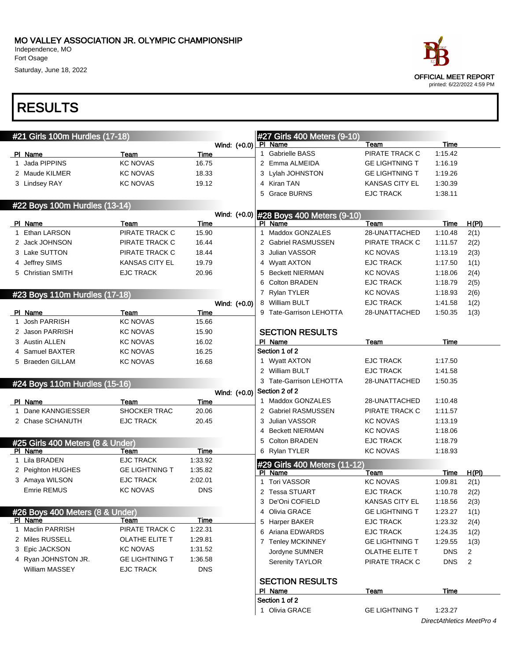

### RESULTS

| #21 Girls 100m Hurdles (17-18)   |                       |             |              |   | #27 Girls 400 Meters (9-10)             |                       |             |                |
|----------------------------------|-----------------------|-------------|--------------|---|-----------------------------------------|-----------------------|-------------|----------------|
|                                  |                       |             | Wind: (+0.0) |   | <b>PI</b> Name                          | Team                  | Time        |                |
| PI Name                          | Team                  | Time        |              |   | 1 Gabrielle BASS                        | PIRATE TRACK C        | 1:15.42     |                |
| Jada PIPPINS                     | <b>KC NOVAS</b>       | 16.75       |              |   | 2 Emma ALMEIDA                          | <b>GE LIGHTNING T</b> | 1:16.19     |                |
| 2 Maude KILMER                   | <b>KC NOVAS</b>       | 18.33       |              |   | 3 Lylah JOHNSTON                        | <b>GE LIGHTNING T</b> | 1:19.26     |                |
| 3 Lindsey RAY                    | <b>KC NOVAS</b>       | 19.12       |              |   | 4 Kiran TAN                             | <b>KANSAS CITY EL</b> | 1:30.39     |                |
|                                  |                       |             |              | 5 | <b>Grace BURNS</b>                      | <b>EJC TRACK</b>      | 1:38.11     |                |
| #22 Boys 100m Hurdles (13-14)    |                       |             |              |   |                                         |                       |             |                |
|                                  |                       |             |              |   | Wind: (+0.0) #28 Boys 400 Meters (9-10) |                       |             |                |
| PI Name                          | Team                  | Time        |              |   | PI Name                                 | Team                  | Time        | H(PI)          |
| Ethan LARSON                     | PIRATE TRACK C        | 15.90       |              |   | 1 Maddox GONZALES                       | 28-UNATTACHED         | 1:10.48     | 2(1)           |
| 2 Jack JOHNSON                   | PIRATE TRACK C        | 16.44       |              |   | 2 Gabriel RASMUSSEN                     | PIRATE TRACK C        | 1:11.57     | 2(2)           |
| 3 Lake SUTTON                    | PIRATE TRACK C        | 18.44       |              |   | 3 Julian VASSOR                         | <b>KC NOVAS</b>       | 1:13.19     | 2(3)           |
| 4 Jeffrey SIMS                   | <b>KANSAS CITY EL</b> | 19.79       |              |   | 4 Wyatt AXTON                           | <b>EJC TRACK</b>      | 1:17.50     | 1(1)           |
| 5 Christian SMITH                | <b>EJC TRACK</b>      | 20.96       |              |   | 5 Beckett NIERMAN                       | <b>KC NOVAS</b>       | 1:18.06     | 2(4)           |
|                                  |                       |             |              | 6 | Colton BRADEN                           | <b>EJC TRACK</b>      | 1:18.79     | 2(5)           |
| #23 Boys 110m Hurdles (17-18)    |                       |             |              |   | 7 Rylan TYLER                           | <b>KC NOVAS</b>       | 1:18.93     | 2(6)           |
|                                  |                       |             | Wind: (+0.0) |   | 8 William BULT                          | <b>EJC TRACK</b>      | 1:41.58     | 1(2)           |
| PI Name                          | Team                  | Time        |              |   | 9 Tate-Garrison LEHOTTA                 | 28-UNATTACHED         | 1:50.35     | 1(3)           |
| 1 Josh PARRISH                   | <b>KC NOVAS</b>       | 15.66       |              |   |                                         |                       |             |                |
| 2 Jason PARRISH                  | <b>KC NOVAS</b>       | 15.90       |              |   | <b>SECTION RESULTS</b>                  |                       |             |                |
| 3 Austin ALLEN                   | <b>KC NOVAS</b>       | 16.02       |              |   | PI Name                                 | Team                  | Time        |                |
| 4 Samuel BAXTER                  | <b>KC NOVAS</b>       | 16.25       |              |   | Section 1 of 2                          |                       |             |                |
| 5 Braeden GILLAM                 | <b>KC NOVAS</b>       | 16.68       |              |   | 1 Wyatt AXTON                           | <b>EJC TRACK</b>      | 1:17.50     |                |
|                                  |                       |             |              |   | 2 William BULT                          | <b>EJC TRACK</b>      | 1:41.58     |                |
| #24 Boys 110m Hurdles (15-16)    |                       |             |              |   | 3 Tate-Garrison LEHOTTA                 | 28-UNATTACHED         | 1:50.35     |                |
|                                  |                       |             | Wind: (+0.0) |   | Section 2 of 2                          |                       |             |                |
| PI Name                          | Team                  | Time        |              |   | 1 Maddox GONZALES                       | 28-UNATTACHED         | 1:10.48     |                |
| Dane KANNGIESSER                 | SHOCKER TRAC          | 20.06       |              |   | 2 Gabriel RASMUSSEN                     | PIRATE TRACK C        | 1:11.57     |                |
| 2 Chase SCHANUTH                 | <b>EJC TRACK</b>      | 20.45       |              |   | 3 Julian VASSOR                         | <b>KC NOVAS</b>       | 1:13.19     |                |
|                                  |                       |             |              |   | 4 Beckett NIERMAN                       | <b>KC NOVAS</b>       | 1:18.06     |                |
| #25 Girls 400 Meters (8 & Under) |                       |             |              | 5 | <b>Colton BRADEN</b>                    | <b>EJC TRACK</b>      | 1:18.79     |                |
| PI Name                          | Team                  | Time        |              |   | 6 Rylan TYLER                           | <b>KC NOVAS</b>       | 1:18.93     |                |
| 1 Lila BRADEN                    | <b>EJC TRACK</b>      | 1.33.92     |              |   | #29 Girls 400 Meters (11-12)            |                       |             |                |
| 2 Peighton HUGHES                | <b>GE LIGHTNING T</b> | 1:35.82     |              |   | PI Name                                 | Team                  | Time        | H(PI)          |
| 3 Amaya WILSON                   | <b>EJC TRACK</b>      | 2:02.01     |              |   | 1 Tori VASSOR                           | <b>KC NOVAS</b>       | 1:09.81     | 2(1)           |
| Emrie REMUS                      | <b>KC NOVAS</b>       | <b>DNS</b>  |              |   | 2 Tessa STUART                          | <b>EJC TRACK</b>      | 1:10.78     | 2(2)           |
|                                  |                       |             |              |   | 3 De'Oni COFIELD                        | KANSAS CITY EL        | 1:18.56     | 2(3)           |
| #26 Boys 400 Meters (8 & Under)  |                       |             |              |   | 4 Olivia GRACE                          | <b>GE LIGHTNING T</b> | 1:23.27     | 1(1)           |
| PI Name                          | Team                  | <b>Time</b> |              |   | 5 Harper BAKER                          | <b>EJC TRACK</b>      | 1:23.32     | 2(4)           |
| 1 Maclin PARRISH                 | PIRATE TRACK C        | 1:22.31     |              |   | 6 Ariana EDWARDS                        | <b>EJC TRACK</b>      | 1:24.35     | 1(2)           |
| 2 Miles RUSSELL                  | OLATHE ELITE T        | 1:29.81     |              |   | 7 Tenley MCKINNEY                       | <b>GE LIGHTNING T</b> | 1:29.55     | 1(3)           |
| 3 Epic JACKSON                   | <b>KC NOVAS</b>       | 1.31.52     |              |   | Jordyne SUMNER                          | OLATHE ELITE T        | <b>DNS</b>  | $\overline{2}$ |
| 4 Ryan JOHNSTON JR.              | <b>GE LIGHTNING T</b> | 1.36.58     |              |   | <b>Serenity TAYLOR</b>                  | PIRATE TRACK C        | <b>DNS</b>  | $\overline{2}$ |
| William MASSEY                   | <b>EJC TRACK</b>      | <b>DNS</b>  |              |   |                                         |                       |             |                |
|                                  |                       |             |              |   | <b>SECTION RESULTS</b>                  |                       |             |                |
|                                  |                       |             |              |   | PI Name                                 | Team                  | <b>Time</b> |                |
|                                  |                       |             |              |   | Section 1 of 2                          |                       |             |                |
|                                  |                       |             |              |   | 1 Olivia GRACE                          | <b>GE LIGHTNING T</b> | 1:23.27     |                |

DirectAthletics MeetPro 4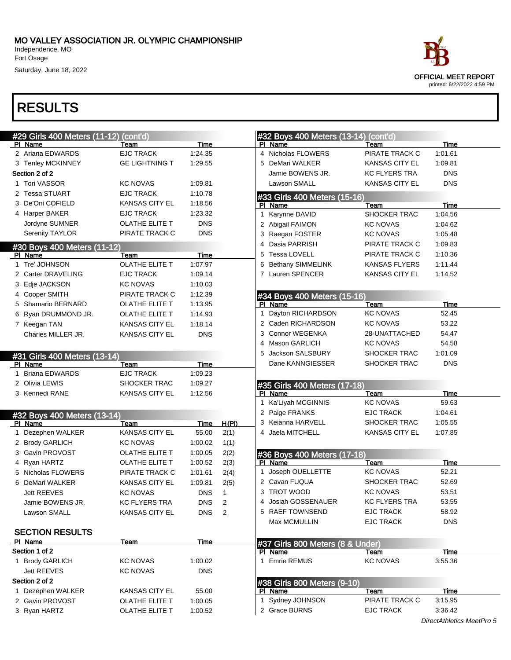# RESULTS

| #29 Girls 400 Meters (11-12) (cont'd) |                       |                  |              |    | #32 Boys 400 Meters (13-14)      | (cont'd)              |             |
|---------------------------------------|-----------------------|------------------|--------------|----|----------------------------------|-----------------------|-------------|
| PI Name                               | Team                  | Time             |              |    | PI Name                          | Team                  | <b>Time</b> |
| 2 Ariana EDWARDS                      | <b>EJC TRACK</b>      | 1:24.35          |              |    | 4 Nicholas FLOWERS               | PIRATE TRACK C        | 1:01.61     |
| 3 Tenley MCKINNEY                     | <b>GE LIGHTNING T</b> | 1:29.55          |              |    | 5 DeMari WALKER                  | KANSAS CITY EL        | 1:09.81     |
| Section 2 of 2                        |                       |                  |              |    | Jamie BOWENS JR.                 | KC FLYERS TRA         | <b>DNS</b>  |
| 1 Tori VASSOR                         | <b>KC NOVAS</b>       | 1:09.81          |              |    | Lawson SMALL                     | KANSAS CITY EL        | <b>DNS</b>  |
| 2 Tessa STUART                        | <b>EJC TRACK</b>      | 1:10.78          |              |    | #33 Girls 400 Meters (15-16)     |                       |             |
| 3 De'Oni COFIELD                      | <b>KANSAS CITY EL</b> | 1:18.56          |              |    | PI Name                          | Team                  | Time        |
| 4 Harper BAKER                        | <b>EJC TRACK</b>      | 1:23.32          |              |    | 1 Karynne DAVID                  | SHOCKER TRAC          | 1:04.56     |
| Jordyne SUMNER                        | OLATHE ELITE T        | <b>DNS</b>       |              |    | 2 Abigail FAIMON                 | <b>KC NOVAS</b>       | 1:04.62     |
| Serenity TAYLOR                       | PIRATE TRACK C        | <b>DNS</b>       |              |    | 3 Raegan FOSTER                  | <b>KC NOVAS</b>       | 1:05.48     |
| #30 Boys 400 Meters (11-12)           |                       |                  |              |    | 4 Dasia PARRISH                  | PIRATE TRACK C        | 1:09.83     |
| PI Name                               | Team                  | Time             |              |    | 5 Tessa LOVELL                   | PIRATE TRACK C        | 1:10.36     |
| 1 Tre' JOHNSON                        | <b>OLATHE ELITE T</b> | 1:07.97          |              |    | 6 Bethany SIMMELINK              | KANSAS FLYERS         | 1:11.44     |
| 2 Carter DRAVELING                    | <b>EJC TRACK</b>      | 1:09.14          |              |    | 7 Lauren SPENCER                 | KANSAS CITY EL        | 1:14.52     |
| 3 Edje JACKSON                        | <b>KC NOVAS</b>       | 1:10.03          |              |    |                                  |                       |             |
| 4 Cooper SMITH                        | PIRATE TRACK C        | 1:12.39          |              |    | #34 Boys 400 Meters (15-16)      |                       |             |
| 5 Shamario BERNARD                    | OLATHE ELITE T        | 1:13.95          |              |    | PI Name                          | Team                  | <b>Time</b> |
| 6 Ryan DRUMMOND JR.                   | OLATHE ELITE T        | 1:14.93          |              | 1. | Dayton RICHARDSON                | <b>KC NOVAS</b>       | 52.45       |
| 7 Keegan TAN                          | <b>KANSAS CITY EL</b> | 1:18.14          |              |    | 2 Caden RICHARDSON               | <b>KC NOVAS</b>       | 53.22       |
| Charles MILLER JR.                    | <b>KANSAS CITY EL</b> | <b>DNS</b>       |              |    | 3 Connor WEGENKA                 | 28-UNATTACHED         | 54.47       |
|                                       |                       |                  |              |    | 4 Mason GARLICH                  | <b>KC NOVAS</b>       | 54.58       |
| #31 Girls 400 Meters (13-14)          |                       |                  |              | 5  | Jackson SALSBURY                 | SHOCKER TRAC          | 1:01.09     |
| PI Name                               | Team                  | Time             |              |    | Dane KANNGIESSER                 | <b>SHOCKER TRAC</b>   | <b>DNS</b>  |
| <b>Briana EDWARDS</b>                 | <b>EJC TRACK</b>      | 1:09.23          |              |    |                                  |                       |             |
| 2 Olivia LEWIS                        | <b>SHOCKER TRAC</b>   | 1:09.27          |              |    | #35 Girls 400 Meters (17-18)     |                       |             |
| 3 Kennedi RANE                        | <b>KANSAS CITY EL</b> | 1:12.56          |              |    | PI Name                          | Team                  | <b>Time</b> |
|                                       |                       |                  |              |    | 1 Ka'Liyah MCGINNIS              | <b>KC NOVAS</b>       | 59.63       |
| #32 Boys 400 Meters (13-14)           |                       |                  |              |    | 2 Paige FRANKS                   | <b>EJC TRACK</b>      | 1:04.61     |
| PI Name                               | Team                  | Time             | H(PI)        |    | 3 Keianna HARVELL                | SHOCKER TRAC          | 1:05.55     |
| 1 Dezephen WALKER                     | <b>KANSAS CITY EL</b> | 55.00            | 2(1)         |    | 4 Jaela MITCHELL                 | <b>KANSAS CITY EL</b> | 1:07.85     |
| 2 Brody GARLICH                       | <b>KC NOVAS</b>       | 1:00.02          | 1(1)         |    |                                  |                       |             |
| 3 Gavin PROVOST                       | OLATHE ELITE T        | 1:00.05          | 2(2)         |    | #36 Boys 400 Meters (17-18)      |                       |             |
| 4 Ryan HARTZ                          | OLATHE ELITE T        | 1:00.52          | 2(3)         |    | PI Name                          | Team                  | Time        |
| 5 Nicholas FLOWERS                    | PIRATE TRACK C        | 1:01.61          | 2(4)         |    | 1 Joseph OUELLETTE               | <b>KC NOVAS</b>       | 52.21       |
| 6 DeMari WALKER                       | <b>KANSAS CITY EL</b> | 1:09.81          | 2(5)         |    | 2 Cavan FUQUA                    | SHOCKER TRAC          | 52.69       |
| Jett REEVES                           | <b>KC NOVAS</b>       | <b>DNS</b>       | $\mathbf{1}$ |    | 3 TROT WOOD                      | <b>KC NOVAS</b>       | 53.51       |
| Jamie BOWENS JR.                      | <b>KC FLYERS TRA</b>  | <b>DNS</b>       | 2            |    | 4 Josiah GOSSENAUER              | <b>KC FLYERS TRA</b>  | 53.55       |
| Lawson SMALL                          | <b>KANSAS CITY EL</b> | DNS <sub>2</sub> |              |    | 5 RAEF TOWNSEND                  | EJC TRACK             | 58.92       |
|                                       |                       |                  |              |    | Max MCMULLIN                     | <b>EJC TRACK</b>      | <b>DNS</b>  |
| <b>SECTION RESULTS</b>                |                       |                  |              |    |                                  |                       |             |
| PI Name                               | Team                  | Time             |              |    | #37 Girls 800 Meters (8 & Under) |                       |             |
| Section 1 of 2                        |                       |                  |              |    | PI Name                          | Team                  | Time        |
| 1 Brody GARLICH                       | KC NOVAS              | 1:00.02          |              |    | 1 Emrie REMUS                    | <b>KC NOVAS</b>       | 3:55.36     |
| <b>Jett REEVES</b>                    | <b>KC NOVAS</b>       | <b>DNS</b>       |              |    |                                  |                       |             |
| Section 2 of 2                        |                       |                  |              |    | #38 Girls 800 Meters (9-10)      |                       |             |
| 1 Dezephen WALKER                     | <b>KANSAS CITY EL</b> | 55.00            |              |    | PI Name                          | Team                  | Time        |
| 2 Gavin PROVOST                       | OLATHE ELITE T        | 1:00.05          |              |    | 1 Sydney JOHNSON                 | PIRATE TRACK C        | 3:15.95     |
| 3 Ryan HARTZ                          | OLATHE ELITE T        | 1:00.52          |              |    | 2 Grace BURNS                    | <b>EJC TRACK</b>      | 3:36.42     |
|                                       |                       |                  |              |    |                                  |                       |             |



DirectAthletics MeetPro 5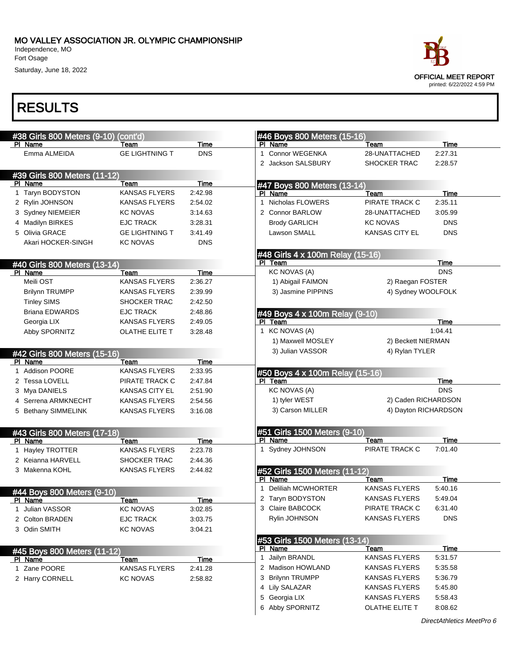Independence, MO Fort Osage

Saturday, June 18, 2022



| #38 Girls 800 Meters (9-10)             | (cont'd)              |             | #46 Boys 800 Meters (15-16)              |                                                        |
|-----------------------------------------|-----------------------|-------------|------------------------------------------|--------------------------------------------------------|
| PI Name                                 | Team                  | Time        | PI Name                                  | Time<br>Team                                           |
| Emma ALMEIDA                            | <b>GE LIGHTNING T</b> | <b>DNS</b>  | Connor WEGENKA<br>$\mathbf 1$            | 2:27.31<br>28-UNATTACHED                               |
|                                         |                       |             | 2 Jackson SALSBURY                       | SHOCKER TRAC<br>2:28.57                                |
| #39 Girls 800 Meters (11-12)            |                       |             |                                          |                                                        |
| PI Name                                 | Team                  | Time        | #47 Boys 800 Meters (13-14)              |                                                        |
| Taryn BODYSTON<br>1                     | <b>KANSAS FLYERS</b>  | 2:42.98     | PI Name                                  | <b>Time</b><br>Team                                    |
| 2 Rylin JOHNSON                         | <b>KANSAS FLYERS</b>  | 2:54.02     | Nicholas FLOWERS<br>1                    | PIRATE TRACK C<br>2:35.11                              |
| 3 Sydney NIEMEIER                       | <b>KC NOVAS</b>       | 3:14.63     | 2 Connor BARLOW                          | 28-UNATTACHED<br>3:05.99                               |
| 4 Madilyn BIRKES                        | <b>EJC TRACK</b>      | 3:28.31     | <b>Brody GARLICH</b>                     | <b>DNS</b><br><b>KC NOVAS</b>                          |
| 5 Olivia GRACE                          | <b>GE LIGHTNING T</b> | 3:41.49     | Lawson SMALL                             | <b>KANSAS CITY EL</b><br><b>DNS</b>                    |
| Akari HOCKER-SINGH                      | KC NOVAS              | <b>DNS</b>  |                                          |                                                        |
|                                         |                       |             | #48 Girls 4 x 100m Relay (15-16)         |                                                        |
| #40 Girls 800 Meters (13-14)            |                       |             | PI Team                                  | <b>Time</b>                                            |
| PI Name                                 | Team                  | <b>Time</b> | <b>KC NOVAS (A)</b>                      | <b>DNS</b>                                             |
| Meili OST                               | <b>KANSAS FLYERS</b>  | 2:36.27     | 1) Abigail FAIMON                        | 2) Raegan FOSTER                                       |
| <b>Brilynn TRUMPP</b>                   | <b>KANSAS FLYERS</b>  | 2:39.99     | 3) Jasmine PIPPINS                       | 4) Sydney WOOLFOLK                                     |
| <b>Tinley SIMS</b>                      | <b>SHOCKER TRAC</b>   | 2:42.50     |                                          |                                                        |
| <b>Briana EDWARDS</b>                   | <b>EJC TRACK</b>      | 2:48.86     | #49 Boys 4 x 100m Relay (9-10)           |                                                        |
| Georgia LIX                             | <b>KANSAS FLYERS</b>  | 2:49.05     | PI Team                                  | Time                                                   |
| Abby SPORNITZ                           | <b>OLATHE ELITE T</b> | 3:28.48     | 1 KC NOVAS (A)                           | 1:04.41                                                |
|                                         |                       |             | 1) Maxwell MOSLEY                        | 2) Beckett NIERMAN                                     |
| #42 Girls 800 Meters (15-16)            |                       |             | 3) Julian VASSOR                         | 4) Rylan TYLER                                         |
| PI Name                                 | Team                  | Time        |                                          |                                                        |
| 1 Addison POORE                         | <b>KANSAS FLYERS</b>  | 2:33.95     | #50 Boys 4 x 100m Relay (15-16)          |                                                        |
| 2 Tessa LOVELL                          | PIRATE TRACK C        | 2:47.84     | PI Team                                  | Time                                                   |
| 3 Mya DANIELS                           | <b>KANSAS CITY EL</b> | 2:51.90     | <b>KC NOVAS (A)</b>                      | <b>DNS</b>                                             |
| 4 Serrena ARMKNECHT                     | <b>KANSAS FLYERS</b>  | 2:54.56     | 1) tyler WEST                            | 2) Caden RICHARDSON                                    |
| 5 Bethany SIMMELINK                     | <b>KANSAS FLYERS</b>  | 3:16.08     | 3) Carson MILLER                         | 4) Dayton RICHARDSON                                   |
|                                         |                       |             |                                          |                                                        |
| #43 Girls 800 Meters (17-18)<br>PI Name |                       | Time        | #51 Girls 1500 Meters (9-10)<br>PI Name  | <b>Time</b><br>Team                                    |
|                                         |                       |             |                                          |                                                        |
|                                         | Team                  |             |                                          | PIRATE TRACK C<br>7:01.40                              |
| 1 Hayley TROTTER                        | KANSAS FLYERS         | 2:23.78     | 1 Sydney JOHNSON                         |                                                        |
| 2 Keianna HARVELL                       | SHOCKER TRAC          | 2:44.36     |                                          |                                                        |
| 3 Makenna KOHL                          | <b>KANSAS FLYERS</b>  | 2:44.82     | #52 Girls 1500 Meters (11-12)            |                                                        |
|                                         |                       |             | PI Name<br><b>Deliliah MCWHORTER</b>     | <b>Time</b><br>Team<br><b>KANSAS FLYERS</b><br>5:40.16 |
| #44 Boys 800 Meters (9-10)              |                       |             |                                          |                                                        |
| PI Name                                 | Team                  | Time        | 2 Taryn BODYSTON                         | <b>KANSAS FLYERS</b><br>5:49.04                        |
| 1 Julian VASSOR                         | <b>KC NOVAS</b>       | 3:02.85     | 3 Claire BABCOCK                         | PIRATE TRACK C<br>6:31.40                              |
| 2 Colton BRADEN                         | <b>EJC TRACK</b>      | 3:03.75     | Rylin JOHNSON                            | KANSAS FLYERS<br><b>DNS</b>                            |
| 3 Odin SMITH                            | <b>KC NOVAS</b>       | 3:04.21     |                                          |                                                        |
|                                         |                       |             | #53 Girls 1500 Meters (13-14)<br>PI Name | Team<br><b>Time</b>                                    |
| #45 Boys 800 Meters (11-12)             |                       |             | Jailyn BRANDL<br>1                       | KANSAS FLYERS<br>5:31.57                               |
| <b>PI Name</b>                          | <u>Team</u>           | <b>Time</b> | 2 Madison HOWLAND                        | KANSAS FLYERS<br>5:35.58                               |
| 1 Zane POORE                            | KANSAS FLYERS         | 2:41.28     | 3 Brilynn TRUMPP                         | <b>KANSAS FLYERS</b>                                   |
| 2 Harry CORNELL                         | <b>KC NOVAS</b>       | 2:58.82     |                                          | 5:36.79<br><b>KANSAS FLYERS</b>                        |
|                                         |                       |             | 4 Lily SALAZAR<br>5 Georgia LIX          | 5:45.80<br>KANSAS FLYERS<br>5:58.43                    |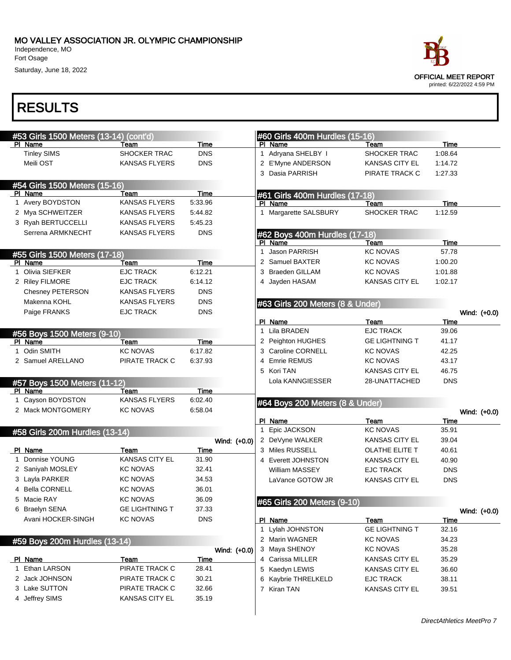Independence, MO Fort Osage

Saturday, June 18, 2022



|              | #53 Girls 1500 Meters (13-14) (cont'd) |                       |             |              |   | #60 Girls 400m Hurdles (15-16)   |                       |             |              |
|--------------|----------------------------------------|-----------------------|-------------|--------------|---|----------------------------------|-----------------------|-------------|--------------|
|              | PI Name                                | Team                  | Time        |              |   | PI Name                          | Team                  | <b>Time</b> |              |
|              | <b>Tinley SIMS</b>                     | SHOCKER TRAC          | <b>DNS</b>  |              |   | 1 Adryana SHELBY I               | SHOCKER TRAC          | 1:08.64     |              |
|              | Meili OST                              | <b>KANSAS FLYERS</b>  | <b>DNS</b>  |              |   | 2 E'Myne ANDERSON                | KANSAS CITY EL        | 1:14.72     |              |
|              |                                        |                       |             |              |   | 3 Dasia PARRISH                  | PIRATE TRACK C        | 1:27.33     |              |
|              | #54 Girls 1500 Meters (15-16)          |                       |             |              |   |                                  |                       |             |              |
|              | PI Name                                | Team                  | Time        |              |   | #61 Girls 400m Hurdles (17-18)   |                       |             |              |
|              | 1 Avery BOYDSTON                       | <b>KANSAS FLYERS</b>  | 5.33.96     |              |   | PI Name                          | Team                  | Time        |              |
|              | 2 Mya SCHWEITZER                       | <b>KANSAS FLYERS</b>  | 5:44.82     |              |   | 1 Margarette SALSBURY            | SHOCKER TRAC          | 1:12.59     |              |
|              | 3 Ryah BERTUCCELLI                     | <b>KANSAS FLYERS</b>  | 5:45.23     |              |   |                                  |                       |             |              |
|              | Serrena ARMKNECHT                      | <b>KANSAS FLYERS</b>  | <b>DNS</b>  |              |   | #62 Boys 400m Hurdles (17-18)    |                       |             |              |
|              |                                        |                       |             |              |   | PI Name                          | Team                  | Time        |              |
|              | #55 Girls 1500 Meters (17-18)          |                       |             |              | 1 | <b>Jason PARRISH</b>             | <b>KC NOVAS</b>       | 57.78       |              |
|              | PI Name                                | Team                  | <b>Time</b> |              |   | 2 Samuel BAXTER                  | KC NOVAS              | 1:00.20     |              |
| $\mathbf{1}$ | Olivia SIEFKER                         | <b>EJC TRACK</b>      | 6:12.21     |              |   | 3 Braeden GILLAM                 | KC NOVAS              | 1:01.88     |              |
|              | 2 Riley FILMORE                        | <b>EJC TRACK</b>      | 6:14.12     |              |   | 4 Jayden HASAM                   | KANSAS CITY EL        | 1:02.17     |              |
|              | <b>Chesney PETERSON</b>                | <b>KANSAS FLYERS</b>  | <b>DNS</b>  |              |   |                                  |                       |             |              |
|              | Makenna KOHL                           | <b>KANSAS FLYERS</b>  | <b>DNS</b>  |              |   | #63 Girls 200 Meters (8 & Under) |                       |             |              |
|              | Paige FRANKS                           | <b>EJC TRACK</b>      | <b>DNS</b>  |              |   |                                  |                       |             | Wind: (+0.0) |
|              |                                        |                       |             |              |   | PI Name                          | Team                  | Time        |              |
|              | #56 Boys 1500 Meters (9-10)            |                       |             |              |   | 1 Lila BRADEN                    | <b>EJC TRACK</b>      | 39.06       |              |
|              | PI Name                                | Team                  | Time        |              |   | 2 Peighton HUGHES                | <b>GE LIGHTNING T</b> | 41.17       |              |
|              | 1 Odin SMITH                           | <b>KC NOVAS</b>       | 6:17.82     |              |   | 3 Caroline CORNELL               | KC NOVAS              | 42.25       |              |
|              | 2 Samuel ARELLANO                      | PIRATE TRACK C        | 6:37.93     |              | 4 | <b>Emrie REMUS</b>               | <b>KC NOVAS</b>       | 43.17       |              |
|              |                                        |                       |             |              |   | 5 Kori TAN                       | <b>KANSAS CITY EL</b> | 46.75       |              |
|              | #57 Boys 1500 Meters (11-12)           |                       |             |              |   | Lola KANNGIESSER                 | 28-UNATTACHED         | <b>DNS</b>  |              |
|              | PI Name                                | Team                  | Time        |              |   |                                  |                       |             |              |
|              |                                        |                       | 6:02.40     |              |   | #64 Boys 200 Meters (8 & Under)  |                       |             |              |
|              | 1 Cayson BOYDSTON                      | <b>KANSAS FLYERS</b>  |             |              |   |                                  |                       |             |              |
|              | 2 Mack MONTGOMERY                      | <b>KC NOVAS</b>       | 6:58.04     |              |   |                                  |                       |             |              |
|              |                                        |                       |             |              |   | PI Name                          | Team                  | Time        | Wind: (+0.0) |
|              |                                        |                       |             |              |   | 1 Epic JACKSON                   | <b>KC NOVAS</b>       | 35.91       |              |
|              | #58 Girls 200m Hurdles (13-14)         |                       |             | Wind: (+0.0) |   | 2 DeVyne WALKER                  | <b>KANSAS CITY EL</b> | 39.04       |              |
|              | PI Name                                | Team                  | Time        |              |   | 3 Miles RUSSELL                  | OLATHE ELITE T        | 40.61       |              |
|              | 1 Donnise YOUNG                        | <b>KANSAS CITY EL</b> | 31.90       |              |   | 4 Everett JOHNSTON               | <b>KANSAS CITY EL</b> | 40.90       |              |
|              | 2 Saniyah MOSLEY                       | <b>KC NOVAS</b>       | 32.41       |              |   | William MASSEY                   | <b>EJC TRACK</b>      | <b>DNS</b>  |              |
|              | 3 Layla PARKER                         | <b>KC NOVAS</b>       | 34.53       |              |   | LaVance GOTOW JR                 | <b>KANSAS CITY EL</b> | <b>DNS</b>  |              |
|              | 4 Bella CORNELL                        | KC NOVAS              | 36.01       |              |   |                                  |                       |             |              |
|              | 5 Macie RAY                            | <b>KC NOVAS</b>       | 36.09       |              |   |                                  |                       |             |              |
|              | 6 Braelyn SENA                         | <b>GE LIGHTNING T</b> | 37.33       |              |   | #65 Girls 200 Meters (9-10)      |                       |             | Wind: (+0.0) |
|              | Avani HOCKER-SINGH                     | <b>KC NOVAS</b>       | <b>DNS</b>  |              |   | PI Name                          | Team                  | Time        |              |
|              |                                        |                       |             |              |   | 1 Lylah JOHNSTON                 | <b>GE LIGHTNING T</b> | 32.16       |              |
|              |                                        |                       |             |              |   | 2 Marin WAGNER                   | <b>KC NOVAS</b>       | 34.23       |              |
|              | #59 Boys 200m Hurdles (13-14)          |                       |             | Wind: (+0.0) |   | 3 Maya SHENOY                    | <b>KC NOVAS</b>       | 35.28       |              |
|              | PI Name                                | Team                  | Time        |              |   | 4 Carissa MILLER                 | <b>KANSAS CITY EL</b> | 35.29       |              |
|              | 1 Ethan LARSON                         | PIRATE TRACK C        | 28.41       |              |   | 5 Kaedyn LEWIS                   | KANSAS CITY EL        | 36.60       |              |
|              | 2 Jack JOHNSON                         | PIRATE TRACK C        | 30.21       |              |   | 6 Kaybrie THRELKELD              | <b>EJC TRACK</b>      | 38.11       |              |
|              | 3 Lake SUTTON                          | PIRATE TRACK C        | 32.66       |              |   | 7 Kiran TAN                      | <b>KANSAS CITY EL</b> | 39.51       |              |
|              | 4 Jeffrey SIMS                         | <b>KANSAS CITY EL</b> | 35.19       |              |   |                                  |                       |             |              |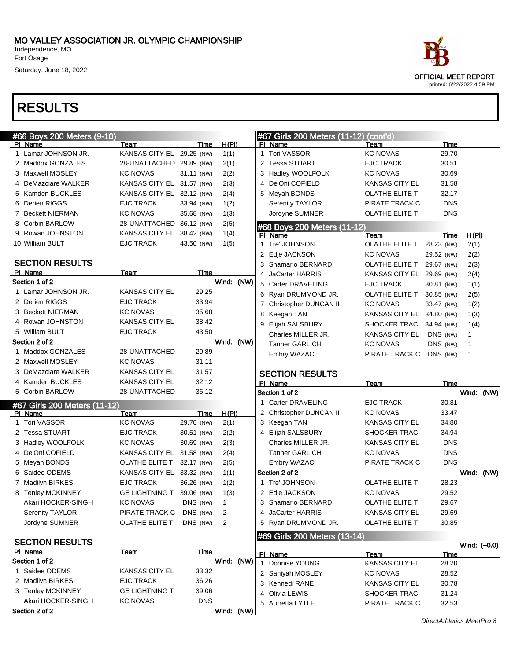Fort Osage

Saturday, June 18, 2022



| #66 Boys 200 Meters (9-10)           |                           |            |                |              | #67 Girls 200 Meters (11-12) | (cont'd)                  |            |              |  |
|--------------------------------------|---------------------------|------------|----------------|--------------|------------------------------|---------------------------|------------|--------------|--|
| PI Name                              | Team                      | Time       | <u>H(PI)</u>   |              | PI Name                      | Team                      | Time       |              |  |
| 1 Lamar JOHNSON JR.                  | KANSAS CITY EL 29.25 (NW) |            | 1(1)           |              | 1 Tori VASSOR                | <b>KC NOVAS</b>           | 29.70      |              |  |
| 2 Maddox GONZALES                    | 28-UNATTACHED 29.89 (NW)  |            | 2(1)           |              | 2 Tessa STUART               | <b>EJC TRACK</b>          | 30.51      |              |  |
| 3 Maxwell MOSLEY                     | <b>KC NOVAS</b>           | 31.11 (NW) | 2(2)           |              | 3 Hadley WOOLFOLK            | <b>KC NOVAS</b>           | 30.69      |              |  |
| 4 DeMazciare WALKER                  | KANSAS CITY EL 31.57 (NW) |            | 2(3)           |              | 4 De'Oni COFIELD             | <b>KANSAS CITY EL</b>     | 31.58      |              |  |
| 5 Kamden BUCKLES                     | KANSAS CITY EL            | 32.12 (NW) | 2(4)           |              | 5 Meyah BONDS                | OLATHE ELITE T            | 32.17      |              |  |
| 6 Derien RIGGS                       | <b>EJC TRACK</b>          | 33.94 (NW) | 1(2)           |              | <b>Serenity TAYLOR</b>       | PIRATE TRACK C            | <b>DNS</b> |              |  |
| 7 Beckett NIERMAN                    | <b>KC NOVAS</b>           | 35.68 (NW) | 1(3)           |              | Jordyne SUMNER               | OLATHE ELITE T            | <b>DNS</b> |              |  |
| 8 Corbin BARLOW                      | 28-UNATTACHED             | 36.12 (NW) | 2(5)           |              | #68 Boys 200 Meters (11-12)  |                           |            |              |  |
| 9 Rowan JOHNSTON                     | KANSAS CITY EL            | 38.42 (NW) | 1(4)           |              | PI Name                      | Team                      | Time       | H(PI)        |  |
| 10 William BULT                      | <b>EJC TRACK</b>          | 43.50 (NW) | 1(5)           |              | 1 Tre' JOHNSON               | OLATHE ELITE T            | 28.23 (NW) | 2(1)         |  |
|                                      |                           |            |                |              | 2 Edje JACKSON               | <b>KC NOVAS</b>           | 29.52 (NW) | 2(2)         |  |
| <b>SECTION RESULTS</b>               |                           |            |                |              | 3 Shamario BERNARD           | OLATHE ELITE T            | 29.67 (NW) | 2(3)         |  |
| PI Name<br>Section 1 of 2            | Team                      | Time       | Wind: (NW)     |              | 4 JaCarter HARRIS            | KANSAS CITY EL 29.69 (NW) |            | 2(4)         |  |
|                                      | <b>KANSAS CITY EL</b>     |            |                |              | 5 Carter DRAVELING           | <b>EJC TRACK</b>          | 30.81 (NW) | 1(1)         |  |
| 1 Lamar JOHNSON JR.                  |                           | 29.25      |                |              | 6 Ryan DRUMMOND JR.          | OLATHE ELITE T            | 30.85 (NW) | 2(5)         |  |
| 2 Derien RIGGS                       | EJC TRACK                 | 33.94      |                |              | 7 Christopher DUNCAN II      | <b>KC NOVAS</b>           | 33.47 (NW) | 1(2)         |  |
| 3 Beckett NIERMAN                    | <b>KC NOVAS</b>           | 35.68      |                |              | 8 Keegan TAN                 | KANSAS CITY EL 34.80 (NW) |            | 1(3)         |  |
| 4 Rowan JOHNSTON                     | <b>KANSAS CITY EL</b>     | 38.42      |                |              | 9 Elijah SALSBURY            | SHOCKER TRAC              | 34.94 (NW) | 1(4)         |  |
| 5 William BULT                       | <b>EJC TRACK</b>          | 43.50      |                |              | Charles MILLER JR.           | KANSAS CITY EL            | DNS (NW)   | 1            |  |
| Section 2 of 2                       |                           |            | Wind: (NW)     |              | <b>Tanner GARLICH</b>        | <b>KC NOVAS</b>           | DNS (NW)   | 1            |  |
| 1 Maddox GONZALES                    | 28-UNATTACHED             | 29.89      |                |              | Embry WAZAC                  | PIRATE TRACK C            | DNS (NW)   | $\mathbf 1$  |  |
| 2 Maxwell MOSLEY                     | <b>KC NOVAS</b>           | 31.11      |                |              |                              |                           |            |              |  |
| 3 DeMazciare WALKER                  | <b>KANSAS CITY EL</b>     | 31.57      |                |              | <b>SECTION RESULTS</b>       |                           |            |              |  |
|                                      |                           |            |                |              |                              |                           |            |              |  |
| 4 Kamden BUCKLES                     | KANSAS CITY EL            | 32.12      |                |              | PI Name                      | Team                      | Time       |              |  |
| 5 Corbin BARLOW                      | 28-UNATTACHED             | 36.12      |                |              | Section 1 of 2               |                           |            | Wind: (NW)   |  |
| #67 Girls 200 Meters (11-12)         |                           |            |                |              | 1 Carter DRAVELING           | <b>EJC TRACK</b>          | 30.81      |              |  |
| PI Name                              | Team                      | Time       | H(PI)          |              | 2 Christopher DUNCAN II      | <b>KC NOVAS</b>           | 33.47      |              |  |
| 1 Tori VASSOR                        | <b>KC NOVAS</b>           | 29.70 (NW) | 2(1)           |              | 3 Keegan TAN                 | <b>KANSAS CITY EL</b>     | 34.80      |              |  |
| 2 Tessa STUART                       | <b>EJC TRACK</b>          | 30.51 (NW) | 2(2)           |              | 4 Elijah SALSBURY            | SHOCKER TRAC              | 34.94      |              |  |
| 3 Hadley WOOLFOLK                    | <b>KC NOVAS</b>           | 30.69 (NW) | 2(3)           |              | Charles MILLER JR.           | <b>KANSAS CITY EL</b>     | <b>DNS</b> |              |  |
| 4 De'Oni COFIELD                     | KANSAS CITY EL            | 31.58 (NW) | 2(4)           |              | <b>Tanner GARLICH</b>        | <b>KC NOVAS</b>           | <b>DNS</b> |              |  |
| 5 Meyah BONDS                        | OLATHE ELITE T            | 32.17 (NW) | 2(5)           |              | Embry WAZAC                  | PIRATE TRACK C            | <b>DNS</b> |              |  |
| 6 Saidee ODEMS                       | KANSAS CITY EL 33.32 (NW) |            | 1(1)           |              | Section 2 of 2               |                           |            | Wind: (NW)   |  |
| 7 Madilyn BIRKES                     | <b>EJC TRACK</b>          | 36.26 (NW) | 1(2)           |              | 1 Tre' JOHNSON               | <b>OLATHE ELITE T</b>     | 28.23      |              |  |
| 8 Tenley MCKINNEY                    | <b>GE LIGHTNING T</b>     | 39.06 (NW) | 1(3)           |              | 2 Edje JACKSON               | <b>KC NOVAS</b>           | 29.52      |              |  |
| Akari HOCKER-SINGH                   | KC NOVAS                  | DNS (NW)   | 1              |              | 3 Shamario BERNARD           | <b>OLATHE ELITE T</b>     | 29.67      |              |  |
| Serenity TAYLOR                      | PIRATE TRACK C            | DNS (NW)   | $\overline{2}$ |              | 4 JaCarter HARRIS            | <b>KANSAS CITY EL</b>     | 29.69      |              |  |
| Jordyne SUMNER                       | OLATHE ELITE T            | DNS (NW)   | 2              |              | 5 Ryan DRUMMOND JR.          | OLATHE ELITE T            | 30.85      |              |  |
|                                      |                           |            |                |              |                              |                           |            |              |  |
| <b>SECTION RESULTS</b>               |                           |            |                |              | #69 Girls 200 Meters (13-14) |                           |            |              |  |
| PI Name                              | <b>Team</b>               | Time       |                |              | PI Name                      | Team                      | Time       | Wind: (+0.0) |  |
| Section 1 of 2                       |                           |            | Wind: (NW)     | $\mathbf{1}$ | Donnise YOUNG                | <b>KANSAS CITY EL</b>     | 28.20      |              |  |
| 1 Saidee ODEMS                       | KANSAS CITY EL            | 33.32      |                |              | 2 Saniyah MOSLEY             | <b>KC NOVAS</b>           | 28.52      |              |  |
| 2 Madilyn BIRKES                     | <b>EJC TRACK</b>          | 36.26      |                |              | 3 Kennedi RANE               | KANSAS CITY EL            | 30.78      |              |  |
| 3 Tenley MCKINNEY                    | <b>GE LIGHTNING T</b>     | 39.06      |                |              | 4 Olivia LEWIS               | SHOCKER TRAC              | 31.24      |              |  |
| Akari HOCKER-SINGH<br>Section 2 of 2 | <b>KC NOVAS</b>           | <b>DNS</b> | Wind: (NW)     |              | 5 Aurretta LYTLE             | PIRATE TRACK C            | 32.53      |              |  |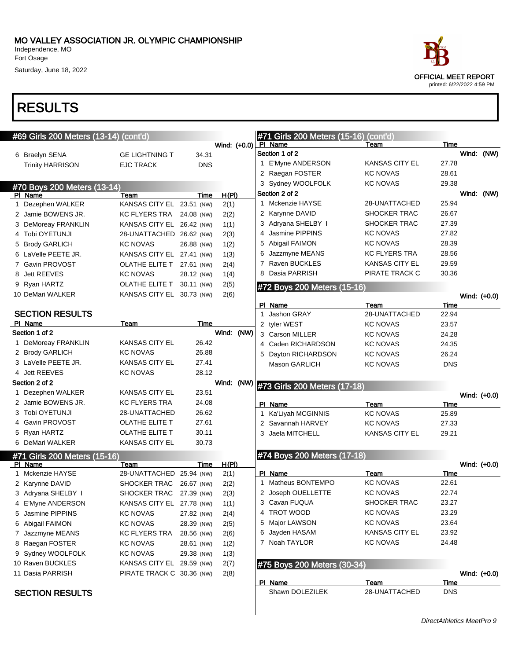Independence, MO Fort Osage Saturday, June 18, 2022

|   | #69 Girls 200 Meters (13-14) (cont'd) |                           |            |              |   | #71 Girls 200 Meters (15-16) (cont'd) |                       |            |                |
|---|---------------------------------------|---------------------------|------------|--------------|---|---------------------------------------|-----------------------|------------|----------------|
|   |                                       |                           |            | Wind: (+0.0) |   | PI Name                               | Team                  | Time       |                |
|   | 6 Braelyn SENA                        | <b>GE LIGHTNING T</b>     | 34.31      |              |   | Section 1 of 2                        |                       |            | Wind: (NW)     |
|   | <b>Trinity HARRISON</b>               | <b>EJC TRACK</b>          | <b>DNS</b> |              |   | 1 E'Myne ANDERSON                     | KANSAS CITY EL        | 27.78      |                |
|   |                                       |                           |            |              |   | 2 Raegan FOSTER                       | <b>KC NOVAS</b>       | 28.61      |                |
|   | #70 Boys 200 Meters (13-14)           |                           |            |              |   | 3 Sydney WOOLFOLK                     | <b>KC NOVAS</b>       | 29.38      |                |
|   | PI Name                               | Team                      | Time       | H(PI)        |   | Section 2 of 2                        |                       |            | Wind: (NW)     |
|   | 1 Dezephen WALKER                     | KANSAS CITY EL 23.51 (NW) |            | 2(1)         |   | 1 Mckenzie HAYSE                      | 28-UNATTACHED         | 25.94      |                |
|   | 2 Jamie BOWENS JR.                    | KC FLYERS TRA 24.08 (NW)  |            | 2(2)         |   | 2 Karynne DAVID                       | SHOCKER TRAC          | 26.67      |                |
|   | 3 DeMoreay FRANKLIN                   | KANSAS CITY EL 26.42 (NW) |            | 1(1)         |   | 3 Adryana SHELBY I                    | <b>SHOCKER TRAC</b>   | 27.39      |                |
|   | 4 Tobi OYETUNJI                       | 28-UNATTACHED 26.62 (NW)  |            | 2(3)         |   | 4 Jasmine PIPPINS                     | <b>KC NOVAS</b>       | 27.82      |                |
|   | 5 Brody GARLICH                       | <b>KC NOVAS</b>           | 26.88 (NW) | 1(2)         |   | 5 Abigail FAIMON                      | <b>KC NOVAS</b>       | 28.39      |                |
|   | 6 LaVelle PEETE JR.                   | KANSAS CITY EL 27.41 (NW) |            | 1(3)         | 6 | Jazzmyne MEANS                        | KC FLYERS TRA         | 28.56      |                |
|   | 7 Gavin PROVOST                       | OLATHE ELITE T 27.61 (NW) |            | 2(4)         |   | 7 Raven BUCKLES                       | KANSAS CITY EL        | 29.59      |                |
| 8 | Jett REEVES                           | <b>KC NOVAS</b>           | 28.12 (NW) | 1(4)         |   | Dasia PARRISH                         | PIRATE TRACK C        | 30.36      |                |
|   | 9 Ryan HARTZ                          | OLATHE ELITE T            | 30.11 (NW) | 2(5)         |   | #72 Boys 200 Meters (15-16)           |                       |            |                |
|   | 10 DeMari WALKER                      | KANSAS CITY EL 30.73 (NW) |            | 2(6)         |   |                                       |                       |            | Wind: $(+0.0)$ |
|   |                                       |                           |            |              |   | PI Name                               | Team                  | Time       |                |
|   | <b>SECTION RESULTS</b>                |                           |            |              |   | 1 Jashon GRAY                         | 28-UNATTACHED         | 22.94      |                |
|   | PI Name                               | Team                      | Time       |              |   | 2 tyler WEST                          | <b>KC NOVAS</b>       | 23.57      |                |
|   | Section 1 of 2                        |                           |            | Wind: (NW)   |   | 3 Carson MILLER                       | KC NOVAS              | 24.28      |                |
|   | 1 DeMoreay FRANKLIN                   | <b>KANSAS CITY EL</b>     | 26.42      |              |   | 4 Caden RICHARDSON                    | <b>KC NOVAS</b>       | 24.35      |                |
|   | 2 Brody GARLICH                       | <b>KC NOVAS</b>           | 26.88      |              |   | 5 Dayton RICHARDSON                   | KC NOVAS              | 26.24      |                |
|   | 3 LaVelle PEETE JR.                   | <b>KANSAS CITY EL</b>     | 27.41      |              |   | <b>Mason GARLICH</b>                  | <b>KC NOVAS</b>       | <b>DNS</b> |                |
|   | 4 Jett REEVES                         | <b>KC NOVAS</b>           | 28.12      |              |   |                                       |                       |            |                |
|   | Section 2 of 2                        |                           |            | Wind: (NW)   |   |                                       |                       |            |                |
|   | 1 Dezephen WALKER                     | <b>KANSAS CITY EL</b>     | 23.51      |              |   | #73 Girls 200 Meters (17-18)          |                       |            |                |
|   | 2 Jamie BOWENS JR.                    | <b>KC FLYERS TRA</b>      | 24.08      |              |   | PI Name                               | Team                  | Time       | Wind: (+0.0)   |
|   | 3 Tobi OYETUNJI                       | 28-UNATTACHED             | 26.62      |              | 1 | Ka'Liyah MCGINNIS                     | <b>KC NOVAS</b>       | 25.89      |                |
|   | 4 Gavin PROVOST                       | OLATHE ELITE T            | 27.61      |              |   | 2 Savannah HARVEY                     | <b>KC NOVAS</b>       | 27.33      |                |
|   | 5 Ryan HARTZ                          | OLATHE ELITE T            |            |              |   |                                       |                       |            |                |
|   |                                       |                           |            |              |   |                                       |                       |            |                |
|   |                                       |                           | 30.11      |              |   | 3 Jaela MITCHELL                      | <b>KANSAS CITY EL</b> | 29.21      |                |
|   | 6 DeMari WALKER                       | <b>KANSAS CITY EL</b>     | 30.73      |              |   |                                       |                       |            |                |
|   | #71 Girls 200 Meters (15-16)          |                           |            |              |   | #74 Boys 200 Meters (17-18)           |                       |            |                |
|   | PI Name                               | Team                      | Time       | <u>H(PI)</u> |   |                                       |                       |            | Wind: (+0.0)   |
|   | 1 Mckenzie HAYSE                      | 28-UNATTACHED 25.94 (NW)  |            | 2(1)         |   | PI Name                               | Team                  | Time       |                |
|   | 2 Karynne DAVID                       | SHOCKER TRAC 26.67 (NW)   |            | 2(2)         |   | 1 Matheus BONTEMPO                    | <b>KC NOVAS</b>       | 22.61      |                |
|   | 3 Adryana SHELBY I                    | SHOCKER TRAC 27.39 (NW)   |            | 2(3)         |   | 2 Joseph OUELLETTE                    | <b>KC NOVAS</b>       | 22.74      |                |
|   | 4 E'Myne ANDERSON                     | KANSAS CITY EL 27.78 (NW) |            | 1(1)         |   | 3 Cavan FUQUA                         | SHOCKER TRAC          | 23.27      |                |
|   | 5 Jasmine PIPPINS                     | KC NOVAS                  | 27.82 (NW) | 2(4)         |   | 4 TROT WOOD                           | KC NOVAS              | 23.29      |                |
|   | 6 Abigail FAIMON                      | <b>KC NOVAS</b>           | 28.39 (NW) | 2(5)         |   | 5 Major LAWSON                        | <b>KC NOVAS</b>       | 23.64      |                |
|   | 7 Jazzmyne MEANS                      | KC FLYERS TRA             | 28.56 (NW) | 2(6)         |   | 6 Jayden HASAM                        | <b>KANSAS CITY EL</b> | 23.92      |                |
|   | 8 Raegan FOSTER                       | KC NOVAS                  | 28.61 (NW) | 1(2)         |   | 7 Noah TAYLOR                         | <b>KC NOVAS</b>       | 24.48      |                |
|   | 9 Sydney WOOLFOLK                     | <b>KC NOVAS</b>           | 29.38 (NW) | 1(3)         |   |                                       |                       |            |                |
|   | 10 Raven BUCKLES                      | KANSAS CITY EL 29.59 (NW) |            | 2(7)         |   | #75 Boys 200 Meters (30-34)           |                       |            |                |
|   | 11 Dasia PARRISH                      | PIRATE TRACK C 30.36 (NW) |            | 2(8)         |   |                                       |                       |            |                |
|   |                                       |                           |            |              |   | PI Name                               | Team                  | Time       |                |
|   | <b>SECTION RESULTS</b>                |                           |            |              |   | Shawn DOLEZILEK                       | 28-UNATTACHED         | <b>DNS</b> | Wind: $(+0.0)$ |

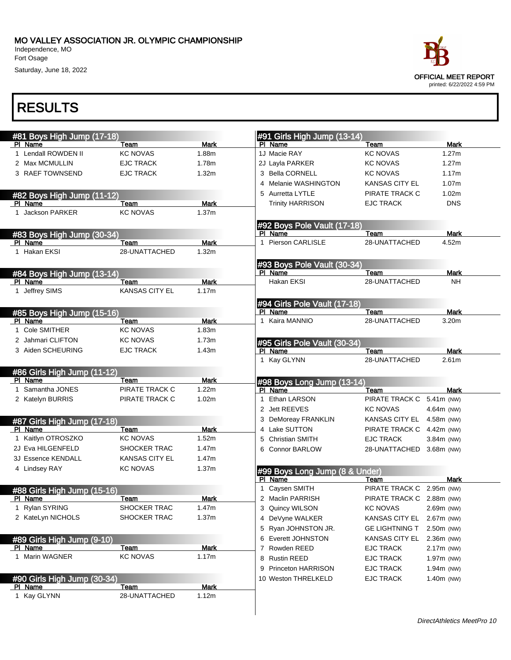

| #81 Boys High Jump (17-18)<br>Team<br><b>KC NOVAS</b><br><b>EJC TRACK</b><br><b>EJC TRACK</b><br>#82 Boys High Jump (11-12)<br>Team<br><b>KC NOVAS</b> | <b>Mark</b><br>1.88m<br>1.78m<br>1.32m<br><b>Mark</b>                                                                                                                                                                                                                                                                                                                                          |                                                                                                                                                            | #91 Girls High Jump (13-14)<br>PI Name<br>1J Macie RAY<br>2J Layla PARKER<br>3 Bella CORNELL | Team<br><b>KC NOVAS</b><br><b>KC NOVAS</b><br>KC NOVAS                                                                                                                                                                                                                                                                                                                                                            | Mark<br>1.27m<br>1.27m                                                                                                                                                                                                                                                                                                                                                                                                                       |
|--------------------------------------------------------------------------------------------------------------------------------------------------------|------------------------------------------------------------------------------------------------------------------------------------------------------------------------------------------------------------------------------------------------------------------------------------------------------------------------------------------------------------------------------------------------|------------------------------------------------------------------------------------------------------------------------------------------------------------|----------------------------------------------------------------------------------------------|-------------------------------------------------------------------------------------------------------------------------------------------------------------------------------------------------------------------------------------------------------------------------------------------------------------------------------------------------------------------------------------------------------------------|----------------------------------------------------------------------------------------------------------------------------------------------------------------------------------------------------------------------------------------------------------------------------------------------------------------------------------------------------------------------------------------------------------------------------------------------|
|                                                                                                                                                        |                                                                                                                                                                                                                                                                                                                                                                                                |                                                                                                                                                            |                                                                                              |                                                                                                                                                                                                                                                                                                                                                                                                                   |                                                                                                                                                                                                                                                                                                                                                                                                                                              |
|                                                                                                                                                        |                                                                                                                                                                                                                                                                                                                                                                                                |                                                                                                                                                            |                                                                                              |                                                                                                                                                                                                                                                                                                                                                                                                                   |                                                                                                                                                                                                                                                                                                                                                                                                                                              |
|                                                                                                                                                        |                                                                                                                                                                                                                                                                                                                                                                                                |                                                                                                                                                            |                                                                                              |                                                                                                                                                                                                                                                                                                                                                                                                                   |                                                                                                                                                                                                                                                                                                                                                                                                                                              |
|                                                                                                                                                        |                                                                                                                                                                                                                                                                                                                                                                                                |                                                                                                                                                            |                                                                                              |                                                                                                                                                                                                                                                                                                                                                                                                                   | 1.17m                                                                                                                                                                                                                                                                                                                                                                                                                                        |
|                                                                                                                                                        |                                                                                                                                                                                                                                                                                                                                                                                                |                                                                                                                                                            | 4 Melanie WASHINGTON                                                                         | <b>KANSAS CITY EL</b>                                                                                                                                                                                                                                                                                                                                                                                             | 1.07m                                                                                                                                                                                                                                                                                                                                                                                                                                        |
|                                                                                                                                                        |                                                                                                                                                                                                                                                                                                                                                                                                |                                                                                                                                                            | 5 Aurretta LYTLE                                                                             | PIRATE TRACK C                                                                                                                                                                                                                                                                                                                                                                                                    | 1.02m                                                                                                                                                                                                                                                                                                                                                                                                                                        |
|                                                                                                                                                        |                                                                                                                                                                                                                                                                                                                                                                                                |                                                                                                                                                            | <b>Trinity HARRISON</b>                                                                      | <b>EJC TRACK</b>                                                                                                                                                                                                                                                                                                                                                                                                  | <b>DNS</b>                                                                                                                                                                                                                                                                                                                                                                                                                                   |
|                                                                                                                                                        | 1.37 <sub>m</sub>                                                                                                                                                                                                                                                                                                                                                                              |                                                                                                                                                            |                                                                                              |                                                                                                                                                                                                                                                                                                                                                                                                                   |                                                                                                                                                                                                                                                                                                                                                                                                                                              |
|                                                                                                                                                        |                                                                                                                                                                                                                                                                                                                                                                                                |                                                                                                                                                            | #92 Boys Pole Vault (17-18)                                                                  |                                                                                                                                                                                                                                                                                                                                                                                                                   |                                                                                                                                                                                                                                                                                                                                                                                                                                              |
| #83 Boys High Jump (30-34)                                                                                                                             |                                                                                                                                                                                                                                                                                                                                                                                                |                                                                                                                                                            | PI Name                                                                                      | Team                                                                                                                                                                                                                                                                                                                                                                                                              | Mark                                                                                                                                                                                                                                                                                                                                                                                                                                         |
| Team                                                                                                                                                   | <b>Mark</b>                                                                                                                                                                                                                                                                                                                                                                                    | 1                                                                                                                                                          | Pierson CARLISLE                                                                             | 28-UNATTACHED                                                                                                                                                                                                                                                                                                                                                                                                     | 4.52m                                                                                                                                                                                                                                                                                                                                                                                                                                        |
| 28-UNATTACHED                                                                                                                                          | 1.32m                                                                                                                                                                                                                                                                                                                                                                                          |                                                                                                                                                            |                                                                                              |                                                                                                                                                                                                                                                                                                                                                                                                                   |                                                                                                                                                                                                                                                                                                                                                                                                                                              |
|                                                                                                                                                        |                                                                                                                                                                                                                                                                                                                                                                                                |                                                                                                                                                            |                                                                                              |                                                                                                                                                                                                                                                                                                                                                                                                                   |                                                                                                                                                                                                                                                                                                                                                                                                                                              |
|                                                                                                                                                        |                                                                                                                                                                                                                                                                                                                                                                                                |                                                                                                                                                            |                                                                                              |                                                                                                                                                                                                                                                                                                                                                                                                                   | Mark                                                                                                                                                                                                                                                                                                                                                                                                                                         |
|                                                                                                                                                        |                                                                                                                                                                                                                                                                                                                                                                                                |                                                                                                                                                            | Hakan EKSI                                                                                   |                                                                                                                                                                                                                                                                                                                                                                                                                   | <b>NH</b>                                                                                                                                                                                                                                                                                                                                                                                                                                    |
| <b>KANSAS CITY EL</b>                                                                                                                                  |                                                                                                                                                                                                                                                                                                                                                                                                |                                                                                                                                                            |                                                                                              |                                                                                                                                                                                                                                                                                                                                                                                                                   |                                                                                                                                                                                                                                                                                                                                                                                                                                              |
|                                                                                                                                                        |                                                                                                                                                                                                                                                                                                                                                                                                |                                                                                                                                                            |                                                                                              |                                                                                                                                                                                                                                                                                                                                                                                                                   |                                                                                                                                                                                                                                                                                                                                                                                                                                              |
|                                                                                                                                                        |                                                                                                                                                                                                                                                                                                                                                                                                |                                                                                                                                                            |                                                                                              |                                                                                                                                                                                                                                                                                                                                                                                                                   | <b>Mark</b>                                                                                                                                                                                                                                                                                                                                                                                                                                  |
|                                                                                                                                                        |                                                                                                                                                                                                                                                                                                                                                                                                |                                                                                                                                                            |                                                                                              |                                                                                                                                                                                                                                                                                                                                                                                                                   | 3.20m                                                                                                                                                                                                                                                                                                                                                                                                                                        |
|                                                                                                                                                        |                                                                                                                                                                                                                                                                                                                                                                                                |                                                                                                                                                            |                                                                                              |                                                                                                                                                                                                                                                                                                                                                                                                                   |                                                                                                                                                                                                                                                                                                                                                                                                                                              |
|                                                                                                                                                        |                                                                                                                                                                                                                                                                                                                                                                                                |                                                                                                                                                            |                                                                                              |                                                                                                                                                                                                                                                                                                                                                                                                                   |                                                                                                                                                                                                                                                                                                                                                                                                                                              |
|                                                                                                                                                        |                                                                                                                                                                                                                                                                                                                                                                                                |                                                                                                                                                            |                                                                                              |                                                                                                                                                                                                                                                                                                                                                                                                                   | <b>Mark</b>                                                                                                                                                                                                                                                                                                                                                                                                                                  |
|                                                                                                                                                        |                                                                                                                                                                                                                                                                                                                                                                                                |                                                                                                                                                            |                                                                                              |                                                                                                                                                                                                                                                                                                                                                                                                                   | 2.61 <sub>m</sub>                                                                                                                                                                                                                                                                                                                                                                                                                            |
|                                                                                                                                                        |                                                                                                                                                                                                                                                                                                                                                                                                |                                                                                                                                                            |                                                                                              |                                                                                                                                                                                                                                                                                                                                                                                                                   |                                                                                                                                                                                                                                                                                                                                                                                                                                              |
|                                                                                                                                                        |                                                                                                                                                                                                                                                                                                                                                                                                |                                                                                                                                                            |                                                                                              |                                                                                                                                                                                                                                                                                                                                                                                                                   |                                                                                                                                                                                                                                                                                                                                                                                                                                              |
|                                                                                                                                                        |                                                                                                                                                                                                                                                                                                                                                                                                |                                                                                                                                                            |                                                                                              |                                                                                                                                                                                                                                                                                                                                                                                                                   |                                                                                                                                                                                                                                                                                                                                                                                                                                              |
|                                                                                                                                                        |                                                                                                                                                                                                                                                                                                                                                                                                |                                                                                                                                                            |                                                                                              |                                                                                                                                                                                                                                                                                                                                                                                                                   | Mark<br>5.41m (NW)                                                                                                                                                                                                                                                                                                                                                                                                                           |
|                                                                                                                                                        |                                                                                                                                                                                                                                                                                                                                                                                                |                                                                                                                                                            |                                                                                              |                                                                                                                                                                                                                                                                                                                                                                                                                   |                                                                                                                                                                                                                                                                                                                                                                                                                                              |
|                                                                                                                                                        |                                                                                                                                                                                                                                                                                                                                                                                                |                                                                                                                                                            |                                                                                              |                                                                                                                                                                                                                                                                                                                                                                                                                   | 4.64m (NW)                                                                                                                                                                                                                                                                                                                                                                                                                                   |
|                                                                                                                                                        |                                                                                                                                                                                                                                                                                                                                                                                                |                                                                                                                                                            |                                                                                              |                                                                                                                                                                                                                                                                                                                                                                                                                   | 4.58m (NW)                                                                                                                                                                                                                                                                                                                                                                                                                                   |
|                                                                                                                                                        |                                                                                                                                                                                                                                                                                                                                                                                                |                                                                                                                                                            |                                                                                              |                                                                                                                                                                                                                                                                                                                                                                                                                   | 4.42m (NW)                                                                                                                                                                                                                                                                                                                                                                                                                                   |
|                                                                                                                                                        |                                                                                                                                                                                                                                                                                                                                                                                                |                                                                                                                                                            |                                                                                              |                                                                                                                                                                                                                                                                                                                                                                                                                   | 3.84m (NW)                                                                                                                                                                                                                                                                                                                                                                                                                                   |
|                                                                                                                                                        |                                                                                                                                                                                                                                                                                                                                                                                                |                                                                                                                                                            |                                                                                              |                                                                                                                                                                                                                                                                                                                                                                                                                   |                                                                                                                                                                                                                                                                                                                                                                                                                                              |
|                                                                                                                                                        |                                                                                                                                                                                                                                                                                                                                                                                                |                                                                                                                                                            |                                                                                              |                                                                                                                                                                                                                                                                                                                                                                                                                   |                                                                                                                                                                                                                                                                                                                                                                                                                                              |
| <b>KC NOVAS</b>                                                                                                                                        | 1.37m                                                                                                                                                                                                                                                                                                                                                                                          |                                                                                                                                                            |                                                                                              |                                                                                                                                                                                                                                                                                                                                                                                                                   |                                                                                                                                                                                                                                                                                                                                                                                                                                              |
|                                                                                                                                                        |                                                                                                                                                                                                                                                                                                                                                                                                |                                                                                                                                                            |                                                                                              | Team                                                                                                                                                                                                                                                                                                                                                                                                              | Mark                                                                                                                                                                                                                                                                                                                                                                                                                                         |
|                                                                                                                                                        |                                                                                                                                                                                                                                                                                                                                                                                                |                                                                                                                                                            |                                                                                              | PIRATE TRACK C                                                                                                                                                                                                                                                                                                                                                                                                    | 2.95m (NW)                                                                                                                                                                                                                                                                                                                                                                                                                                   |
| Team                                                                                                                                                   | Mark                                                                                                                                                                                                                                                                                                                                                                                           |                                                                                                                                                            |                                                                                              |                                                                                                                                                                                                                                                                                                                                                                                                                   |                                                                                                                                                                                                                                                                                                                                                                                                                                              |
|                                                                                                                                                        | 1.47m                                                                                                                                                                                                                                                                                                                                                                                          |                                                                                                                                                            |                                                                                              | <b>KC NOVAS</b>                                                                                                                                                                                                                                                                                                                                                                                                   | 2.69m (NW)                                                                                                                                                                                                                                                                                                                                                                                                                                   |
| SHOCKER TRAC                                                                                                                                           | 1.37m                                                                                                                                                                                                                                                                                                                                                                                          |                                                                                                                                                            |                                                                                              | KANSAS CITY EL                                                                                                                                                                                                                                                                                                                                                                                                    | 2.67m (NW)                                                                                                                                                                                                                                                                                                                                                                                                                                   |
|                                                                                                                                                        |                                                                                                                                                                                                                                                                                                                                                                                                |                                                                                                                                                            |                                                                                              | <b>GE LIGHTNING T</b>                                                                                                                                                                                                                                                                                                                                                                                             | 2.50m (NW)                                                                                                                                                                                                                                                                                                                                                                                                                                   |
|                                                                                                                                                        |                                                                                                                                                                                                                                                                                                                                                                                                |                                                                                                                                                            |                                                                                              | KANSAS CITY EL                                                                                                                                                                                                                                                                                                                                                                                                    | 2.36m (NW)                                                                                                                                                                                                                                                                                                                                                                                                                                   |
| Team                                                                                                                                                   | <b>Mark</b>                                                                                                                                                                                                                                                                                                                                                                                    |                                                                                                                                                            |                                                                                              | <b>EJC TRACK</b>                                                                                                                                                                                                                                                                                                                                                                                                  | 2.17m (NW)                                                                                                                                                                                                                                                                                                                                                                                                                                   |
| <b>KC NOVAS</b>                                                                                                                                        | 1.17m                                                                                                                                                                                                                                                                                                                                                                                          |                                                                                                                                                            |                                                                                              | <b>EJC TRACK</b>                                                                                                                                                                                                                                                                                                                                                                                                  | 1.97m (NW)                                                                                                                                                                                                                                                                                                                                                                                                                                   |
|                                                                                                                                                        |                                                                                                                                                                                                                                                                                                                                                                                                |                                                                                                                                                            |                                                                                              |                                                                                                                                                                                                                                                                                                                                                                                                                   | 1.94m (NW)                                                                                                                                                                                                                                                                                                                                                                                                                                   |
|                                                                                                                                                        |                                                                                                                                                                                                                                                                                                                                                                                                |                                                                                                                                                            |                                                                                              |                                                                                                                                                                                                                                                                                                                                                                                                                   | $1.40m$ (NW)                                                                                                                                                                                                                                                                                                                                                                                                                                 |
| Team                                                                                                                                                   |                                                                                                                                                                                                                                                                                                                                                                                                |                                                                                                                                                            |                                                                                              |                                                                                                                                                                                                                                                                                                                                                                                                                   |                                                                                                                                                                                                                                                                                                                                                                                                                                              |
| 28-UNATTACHED                                                                                                                                          |                                                                                                                                                                                                                                                                                                                                                                                                |                                                                                                                                                            |                                                                                              |                                                                                                                                                                                                                                                                                                                                                                                                                   |                                                                                                                                                                                                                                                                                                                                                                                                                                              |
|                                                                                                                                                        | #84 Boys High Jump (13-14)<br>Team<br>#85 Boys High Jump (15-16)<br>Team<br><b>KC NOVAS</b><br><b>KC NOVAS</b><br><b>EJC TRACK</b><br>#86 Girls High Jump (11-12)<br>Team<br>PIRATE TRACK C<br>PIRATE TRACK C<br>#87 Girls High Jump (17-18)<br>Team<br>KC NOVAS<br><b>SHOCKER TRAC</b><br><b>KANSAS CITY EL</b><br>#88 Girls High Jump (15-16)<br>SHOCKER TRAC<br>#90 Girls High Jump (30-34) | <b>Mark</b><br>1.17m<br><b>Mark</b><br>1.83m<br>1.73m<br>1.43m<br>Mark<br>1.22m<br>1.02m<br><b>Mark</b><br>1.52m<br>1.47m<br>1.47m<br><b>Mark</b><br>1.12m |                                                                                              | PI Name<br>PI Name<br>1 Kaira MANNIO<br>PI Name<br>1 Kay GLYNN<br>PI Name<br>1 Ethan LARSON<br>2 Jett REEVES<br>3 DeMoreay FRANKLIN<br>4 Lake SUTTON<br>5 Christian SMITH<br>6 Connor BARLOW<br>PI Name<br>1 Caysen SMITH<br>2 Maclin PARRISH<br>3 Quincy WILSON<br>4 DeVyne WALKER<br>5 Ryan JOHNSTON JR.<br>6 Everett JOHNSTON<br>7 Rowden REED<br>8 Rustin REED<br>9 Princeton HARRISON<br>10 Weston THRELKELD | #93 Boys Pole Vault (30-34)<br>Team<br>28-UNATTACHED<br>#94 Girls Pole Vault (17-18)<br>Team<br>28-UNATTACHED<br>#95 Girls Pole Vault (30-34)<br>Team<br>28-UNATTACHED<br>#98 Boys Long Jump (13-14)<br>Team<br>PIRATE TRACK C<br><b>KC NOVAS</b><br>KANSAS CITY EL<br>PIRATE TRACK C<br><b>EJC TRACK</b><br>28-UNATTACHED 3.68m (NW)<br>#99 Boys Long Jump (8 & Under)<br>PIRATE TRACK C 2.88m (NW)<br><b>EJC TRACK</b><br><b>EJC TRACK</b> |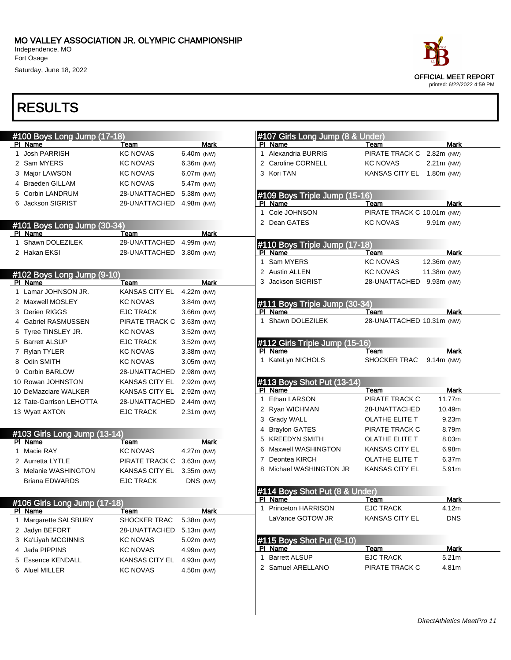Independence, MO Fort Osage

Saturday, June 18, 2022



| #100 Boys Long Jump (17-18)             |                           |              |              | #107 Girls Long Jump (8 & Under) |                            |             |             |
|-----------------------------------------|---------------------------|--------------|--------------|----------------------------------|----------------------------|-------------|-------------|
| PI Name                                 | Team                      | <b>Mark</b>  |              | PI Name                          | Team                       |             | <b>Mark</b> |
| 1 Josh PARRISH                          | <b>KC NOVAS</b>           | 6.40m (NW)   | $\mathbf{1}$ | Alexandria BURRIS                | PIRATE TRACK C             | 2.82m (NW)  |             |
| 2 Sam MYERS                             | <b>KC NOVAS</b>           | $6.36m$ (NW) |              | 2 Caroline CORNELL               | <b>KC NOVAS</b>            | 2.21m (NW)  |             |
| 3 Major LAWSON                          | <b>KC NOVAS</b>           | 6.07m (NW)   |              | 3 Kori TAN                       | KANSAS CITY EL 1.80m (NW)  |             |             |
| 4 Braeden GILLAM                        | <b>KC NOVAS</b>           | 5.47m (NW)   |              |                                  |                            |             |             |
| 5 Corbin LANDRUM                        | 28-UNATTACHED             | 5.38m (NW)   |              | #109 Boys Triple Jump (15-16)    |                            |             |             |
| 6 Jackson SIGRIST                       | 28-UNATTACHED 4.98m (NW)  |              |              | PI Name                          | Team                       |             | Mark        |
|                                         |                           |              | $\mathbf{1}$ | Cole JOHNSON                     | PIRATE TRACK C 10.01m (NW) |             |             |
| #101 Boys Long Jump (30-34)             |                           |              |              | 2 Dean GATES                     | <b>KC NOVAS</b>            | 9.91m (NW)  |             |
| PI Name                                 | Team                      | <b>Mark</b>  |              |                                  |                            |             |             |
| 1 Shawn DOLEZILEK                       | 28-UNATTACHED             | 4.99m (NW)   |              | #110 Boys Triple Jump (17-18)    |                            |             |             |
| 2 Hakan EKSI                            | 28-UNATTACHED 3.80m (NW)  |              |              | PI Name                          | Team                       |             | Mark        |
|                                         |                           |              | $\mathbf{1}$ | Sam MYERS                        | <b>KC NOVAS</b>            | 12.36m (NW) |             |
| #102 Boys Long Jump (9-10)              |                           |              |              | 2 Austin ALLEN                   | <b>KC NOVAS</b>            | 11.38m (NW) |             |
| PI Name                                 | Team                      | Mark         |              | 3 Jackson SIGRIST                | 28-UNATTACHED 9.93m (NW)   |             |             |
| 1 Lamar JOHNSON JR.                     | <b>KANSAS CITY EL</b>     | 4.22m (NW)   |              |                                  |                            |             |             |
| 2 Maxwell MOSLEY                        | <b>KC NOVAS</b>           | $3.84m$ (NW) |              | #111 Boys Triple Jump (30-34)    |                            |             |             |
| 3 Derien RIGGS                          | <b>EJC TRACK</b>          | 3.66m (NW)   |              | PI Name                          | Team                       |             | Mark        |
| 4 Gabriel RASMUSSEN                     | PIRATE TRACK C            | 3.63m (NW)   |              | 1 Shawn DOLEZILEK                | 28-UNATTACHED 10.31m (NW)  |             |             |
| 5 Tyree TINSLEY JR.                     | <b>KC NOVAS</b>           | $3.52m$ (NW) |              |                                  |                            |             |             |
| 5 Barrett ALSUP                         | <b>EJC TRACK</b>          | 3.52m (NW)   |              | #112 Girls Triple Jump (15-16)   |                            |             |             |
| 7 Rylan TYLER                           | <b>KC NOVAS</b>           | 3.38m (NW)   |              | PI Name                          | Team                       |             | Mark        |
| 8 Odin SMITH                            | <b>KC NOVAS</b>           | 3.05m (NW)   |              | 1 KateLyn NICHOLS                | SHOCKER TRAC               | 9.14m (NW)  |             |
| 9 Corbin BARLOW                         | 28-UNATTACHED             | 2.98m (NW)   |              |                                  |                            |             |             |
| 10 Rowan JOHNSTON                       | KANSAS CITY EL 2.92m (NW) |              |              | #113 Boys Shot Put (13-14)       |                            |             |             |
| 10 DeMazciare WALKER                    | KANSAS CITY EL 2.92m (NW) |              |              | PI Name                          | Team                       |             | Mark        |
| 12 Tate-Garrison LEHOTTA                | 28-UNATTACHED             | 2.44m (NW)   | 1            | Ethan LARSON                     | PIRATE TRACK C             |             | 11.77m      |
| 13 Wyatt AXTON                          | <b>EJC TRACK</b>          | $2.31m$ (NW) |              | 2 Ryan WICHMAN                   | 28-UNATTACHED              |             | 10.49m      |
|                                         |                           |              |              | 3 Grady WALL                     | <b>OLATHE ELITE T</b>      |             | 9.23m       |
|                                         |                           |              |              | 4 Braylon GATES                  | PIRATE TRACK C             |             | 8.79m       |
| #103 Girls Long Jump (13-14)<br>PI Name | Team                      | Mark         |              | 5 KREEDYN SMITH                  | OLATHE ELITE T             |             | 8.03m       |
| 1 Macie RAY                             | <b>KC NOVAS</b>           | 4.27m (NW)   |              | 6 Maxwell WASHINGTON             | KANSAS CITY EL             |             | 6.98m       |
| 2 Aurretta LYTLE                        | PIRATE TRACK C            | 3.63m (NW)   | 7            | Deontea KIRCH                    | OLATHE ELITE T             |             | 6.37m       |
| 3 Melanie WASHINGTON                    | KANSAS CITY EL            | 3.35m (NW)   |              | Michael WASHINGTON JR            | <b>KANSAS CITY EL</b>      |             | 5.91m       |
| <b>Briana EDWARDS</b>                   | <b>EJC TRACK</b>          | DNS (NW)     |              |                                  |                            |             |             |
|                                         |                           |              |              | #114 Boys Shot Put (8 & Under)   |                            |             |             |
|                                         |                           |              |              | PI Name                          | Team                       |             | Mark        |
| #106 Girls Long Jump (17-18)<br>PI Name | <u>Team</u>               | <b>Mark</b>  | 1            | Princeton HARRISON               | <b>EJC TRACK</b>           |             | 4.12m       |
| 1 Margarette SALSBURY                   | SHOCKER TRAC              | 5.38m (NW)   |              | LaVance GOTOW JR                 | <b>KANSAS CITY EL</b>      |             | <b>DNS</b>  |
| 2 Jadyn BEFORT                          | 28-UNATTACHED             | 5.13m (NW)   |              |                                  |                            |             |             |
| 3 Ka'Liyah MCGINNIS                     | <b>KC NOVAS</b>           | 5.02m (NW)   |              | #115 Boys Shot Put (9-10)        |                            |             |             |
| 4 Jada PIPPINS                          | <b>KC NOVAS</b>           | 4.99m (NW)   |              | PI Name                          | Team                       |             | <b>Mark</b> |
| 5 Essence KENDALL                       | <b>KANSAS CITY EL</b>     | 4.93m (NW)   | 1            | <b>Barrett ALSUP</b>             | <b>EJC TRACK</b>           |             | 5.21m       |
| 6 Aluel MILLER                          |                           |              |              | 2 Samuel ARELLANO                | PIRATE TRACK C             |             | 4.81m       |
|                                         | <b>KC NOVAS</b>           | 4.50m (NW)   |              |                                  |                            |             |             |
|                                         |                           |              |              |                                  |                            |             |             |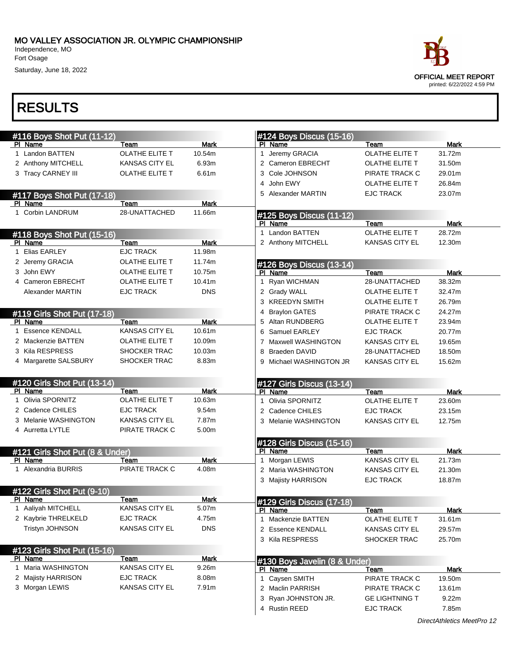Independence, MO Fort Osage

Saturday, June 18, 2022



|    | #116 Boys Shot Put (11-12)      |                       |             | #124 Boys Discus (15-16)             |                                           |                |
|----|---------------------------------|-----------------------|-------------|--------------------------------------|-------------------------------------------|----------------|
|    | PI Name                         | Team                  | Mark        | PI Name                              | Team                                      | <b>Mark</b>    |
|    | 1 Landon BATTEN                 | <b>OLATHE ELITE T</b> | 10.54m      | Jeremy GRACIA<br>1.                  | <b>OLATHE ELITE T</b>                     | 31.72m         |
|    | 2 Anthony MITCHELL              | <b>KANSAS CITY EL</b> | 6.93m       | 2 Cameron EBRECHT                    | OLATHE ELITE T                            | 31.50m         |
|    | 3 Tracy CARNEY III              | OLATHE ELITE T        | 6.61m       | 3 Cole JOHNSON                       | PIRATE TRACK C                            | 29.01m         |
|    |                                 |                       |             | John EWY<br>4                        | <b>OLATHE ELITE T</b>                     | 26.84m         |
|    | #117 Boys Shot Put (17-18)      |                       |             | 5 Alexander MARTIN                   | <b>EJC TRACK</b>                          | 23.07m         |
|    | PI Name                         | Team                  | <b>Mark</b> |                                      |                                           |                |
|    | 1 Corbin LANDRUM                | 28-UNATTACHED         | 11.66m      | #125 Boys Discus (11-12)             |                                           |                |
|    |                                 |                       |             | PI Name                              | Team                                      | Mark           |
|    | #118 Boys Shot Put (15-16)      |                       |             | Landon BATTEN<br>1                   | OLATHE ELITE T                            | 28.72m         |
|    | PI Name                         | Team                  | <b>Mark</b> | 2 Anthony MITCHELL                   | <b>KANSAS CITY EL</b>                     | 12.30m         |
| 1  | <b>Elias EARLEY</b>             | <b>EJC TRACK</b>      | 11.98m      |                                      |                                           |                |
|    | 2 Jeremy GRACIA                 | OLATHE ELITE T        | 11.74m      | #126 Boys Discus (13-14)             |                                           |                |
| 3. | John EWY                        | <b>OLATHE ELITE T</b> | 10.75m      | PI Name                              | Team                                      | <b>Mark</b>    |
|    | 4 Cameron EBRECHT               | OLATHE ELITE T        | 10.41m      | Ryan WICHMAN<br>1.                   | 28-UNATTACHED                             | 38.32m         |
|    | Alexander MARTIN                | <b>EJC TRACK</b>      | <b>DNS</b>  | 2 Grady WALL                         | OLATHE ELITE T                            | 32.47m         |
|    |                                 |                       |             | 3 KREEDYN SMITH                      | OLATHE ELITE T                            | 26.79m         |
|    | #119 Girls Shot Put (17-18)     |                       |             | <b>Braylon GATES</b><br>4            | PIRATE TRACK C                            | 24.27m         |
|    | PI Name                         | Team                  | <b>Mark</b> | 5 Altan RUNDBERG                     | OLATHE ELITE T                            | 23.94m         |
| 1  | <b>Essence KENDALL</b>          | <b>KANSAS CITY EL</b> | 10.61m      | 6 Samuel EARLEY                      | <b>EJC TRACK</b>                          | 20.77m         |
|    | 2 Mackenzie BATTEN              | <b>OLATHE ELITE T</b> | 10.09m      | <b>Maxwell WASHINGTON</b><br>7       | <b>KANSAS CITY EL</b>                     | 19.65m         |
|    | 3 Kila RESPRESS                 | <b>SHOCKER TRAC</b>   | 10.03m      | <b>Braeden DAVID</b><br>8            | 28-UNATTACHED                             | 18.50m         |
|    | 4 Margarette SALSBURY           | <b>SHOCKER TRAC</b>   | 8.83m       | Michael WASHINGTON JR                | <b>KANSAS CITY EL</b>                     | 15.62m         |
|    | #120 Girls Shot Put (13-14)     |                       |             | #127 Girls Discus (13-14)            |                                           |                |
|    | PI Name                         | Team                  | <b>Mark</b> | PI Name                              | Team                                      | <b>Mark</b>    |
|    | 1 Olivia SPORNITZ               | <b>OLATHE ELITE T</b> | 10.63m      | Olivia SPORNITZ<br>1                 | OLATHE ELITE T                            | 23.60m         |
|    | 2 Cadence CHILES                | <b>EJC TRACK</b>      | 9.54m       | 2 Cadence CHILES                     | <b>EJC TRACK</b>                          | 23.15m         |
|    |                                 |                       | 7.87m       | 3 Melanie WASHINGTON                 | <b>KANSAS CITY EL</b>                     | 12.75m         |
|    | 3 Melanie WASHINGTON            | <b>KANSAS CITY EL</b> |             |                                      |                                           |                |
|    | 4 Aurretta LYTLE                | PIRATE TRACK C        | 5.00m       |                                      |                                           |                |
|    |                                 |                       |             | #128 Girls Discus (15-16)            |                                           |                |
|    | #121 Girls Shot Put (8 & Under) |                       |             | PI Name                              | Team                                      | <b>Mark</b>    |
|    | PI Name                         | Team                  | Mark        | Morgan LEWIS<br>1                    | <b>KANSAS CITY EL</b>                     | 21.73m         |
|    | 1 Alexandria BURRIS             | PIRATE TRACK C        | 4.08m       | 2 Maria WASHINGTON                   | <b>KANSAS CITY EL</b>                     | 21.30m         |
|    |                                 |                       |             | 3 Majisty HARRISON                   | <b>EJC TRACK</b>                          | 18.87m         |
|    | #122 Girls Shot Put (9-10)      |                       |             |                                      |                                           |                |
|    | PI Name                         | Team                  | Mark        |                                      |                                           |                |
|    | 1 Aaliyah MITCHELL              | <b>KANSAS CITY EL</b> | 5.07m       | #129 Girls Discus (17-18)<br>PI Name | Team                                      | <b>Mark</b>    |
|    | 2 Kaybrie THRELKELD             | <b>EJC TRACK</b>      | 4.75m       | 1 Mackenzie BATTEN                   | OLATHE ELITE T                            | 31.61m         |
|    | <b>Tristyn JOHNSON</b>          | <b>KANSAS CITY EL</b> | <b>DNS</b>  | 2 Essence KENDALL                    | <b>KANSAS CITY EL</b>                     | 29.57m         |
|    |                                 |                       |             | 3 Kila RESPRESS                      | SHOCKER TRAC                              | 25.70m         |
|    | #123 Girls Shot Put (15-16)     |                       |             |                                      |                                           |                |
|    | PI Name                         | Team                  | <b>Mark</b> | #130 Boys Javelin (8 & Under)        |                                           |                |
|    | 1 Maria WASHINGTON              | <b>KANSAS CITY EL</b> | 9.26m       | PI Name                              | Team                                      | Mark           |
|    | 2 Majisty HARRISON              | <b>EJC TRACK</b>      | 8.08m       | 1 Caysen SMITH                       | PIRATE TRACK C                            | 19.50m         |
|    | 3 Morgan LEWIS                  | KANSAS CITY EL        | 7.91m       | 2 Maclin PARRISH                     | PIRATE TRACK C                            | 13.61m         |
|    |                                 |                       |             | 3 Ryan JOHNSTON JR.<br>4 Rustin REED | <b>GE LIGHTNING T</b><br><b>EJC TRACK</b> | 9.22m<br>7.85m |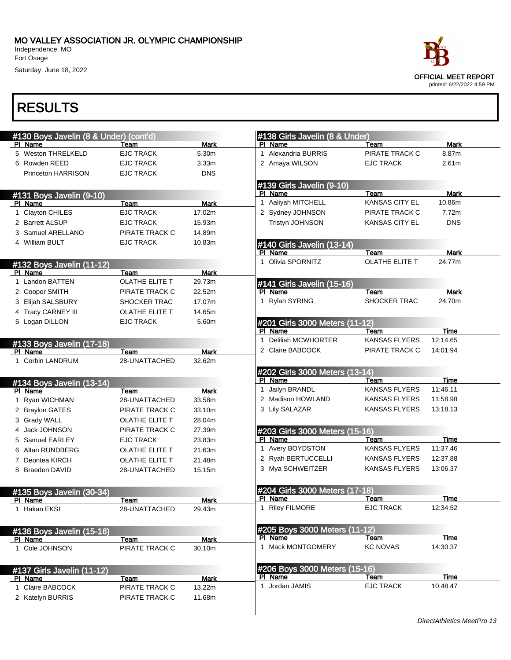Independence, MO Fort Osage

Saturday, June 18, 2022



| #130 Boys Javelin (8 & Under) (cont'd) |                        | #138 Girls Javelin (8 & Under) |                                                 |                       |             |
|----------------------------------------|------------------------|--------------------------------|-------------------------------------------------|-----------------------|-------------|
| PI Name                                | Team                   | <b>Mark</b>                    | PI Name                                         | Team                  | <b>Mark</b> |
| 5 Weston THRELKELD                     | <b>EJC TRACK</b>       | 5.30m                          | 1 Alexandria BURRIS                             | PIRATE TRACK C        | 8.87m       |
| 6 Rowden REED                          | <b>EJC TRACK</b>       | 3.33 <sub>m</sub>              | 2 Amaya WILSON                                  | <b>EJC TRACK</b>      | 2.61m       |
| Princeton HARRISON                     | <b>EJC TRACK</b>       | <b>DNS</b>                     |                                                 |                       |             |
|                                        |                        |                                | #139 Girls Javelin (9-10)                       |                       |             |
| #131 Boys Javelin (9-10)               |                        |                                | PI Name                                         | Team                  | <b>Mark</b> |
| PI Name                                | Team                   | <b>Mark</b>                    | 1 Aaliyah MITCHELL                              | <b>KANSAS CITY EL</b> | 10.86m      |
| 1 Clayton CHILES                       | <b>EJC TRACK</b>       | 17.02m                         | 2 Sydney JOHNSON                                | PIRATE TRACK C        | 7.72m       |
| 2 Barrett ALSUP                        | <b>EJC TRACK</b>       | 15.93m                         | Tristyn JOHNSON                                 | KANSAS CITY EL        | <b>DNS</b>  |
| 3 Samuel ARELLANO                      | PIRATE TRACK C         | 14.89m                         |                                                 |                       |             |
| 4 William BULT                         | <b>EJC TRACK</b>       | 10.83m                         | #140 Girls Javelin (13-14)                      |                       |             |
|                                        |                        |                                | PI Name                                         | Team                  | Mark        |
| #132 Boys Javelin (11-12)              |                        |                                | 1 Olivia SPORNITZ                               | <b>OLATHE ELITE T</b> | 24.77m      |
| PI Name                                | Team                   | Mark                           |                                                 |                       |             |
| 1 Landon BATTEN                        | OLATHE ELITE T         | 29.73m                         | #141 Girls Javelin (15-16)                      |                       |             |
| 2 Cooper SMITH                         | PIRATE TRACK C         | 22.52m                         | PI Name                                         | Team                  | <b>Mark</b> |
| 3 Elijah SALSBURY                      | SHOCKER TRAC           | 17.07m                         | 1 Rylan SYRING                                  | SHOCKER TRAC          | 24.70m      |
| 4 Tracy CARNEY III                     | OLATHE ELITE T         | 14.65m                         |                                                 |                       |             |
| 5 Logan DILLON                         | <b>EJC TRACK</b>       | 5.60m                          | #201 Girls 3000 Meters (11-12)                  |                       |             |
|                                        |                        |                                | PI Name                                         | Team                  | Time        |
| #133 Boys Javelin (17-18)              |                        |                                | 1 Deliliah MCWHORTER                            | <b>KANSAS FLYERS</b>  | 12:14.65    |
| PI Name                                | Team                   | <b>Mark</b>                    | 2 Claire BABCOCK                                | PIRATE TRACK C        | 14:01.94    |
| 1 Corbin LANDRUM                       | 28-UNATTACHED          | 32.62m                         |                                                 |                       |             |
|                                        |                        |                                | #202 Girls 3000 Meters (13-14)                  |                       |             |
| #134 Boys Javelin (13-14)              |                        |                                | PI Name                                         | Team                  | Time        |
| PI Name                                | Team                   | <b>Mark</b>                    | 1 Jailyn BRANDL                                 | <b>KANSAS FLYERS</b>  | 11:46.11    |
| 1 Ryan WICHMAN                         | 28-UNATTACHED          | 33.58m                         | 2 Madison HOWLAND                               | <b>KANSAS FLYERS</b>  | 11:58.98    |
| 2 Braylon GATES                        | PIRATE TRACK C         | 33.10m                         | 3 Lily SALAZAR                                  | <b>KANSAS FLYERS</b>  | 13:18.13    |
| 3 Grady WALL                           | OLATHE ELITE T         | 28.04m                         |                                                 |                       |             |
| 4 Jack JOHNSON                         | PIRATE TRACK C         | 27.39m                         | #203 Girls 3000 Meters (15-16)                  |                       |             |
| 5 Samuel EARLEY                        | <b>EJC TRACK</b>       | 23.83m                         | PI Name                                         | Team                  | Time        |
| Altan RUNDBERG                         | OLATHE ELITE T         | 21.63m                         | 1 Avery BOYDSTON                                | <b>KANSAS FLYERS</b>  | 11:37.46    |
| 7 Deontea KIRCH                        | OLATHE ELITE T         | 21.48m                         | 2 Ryah BERTUCCELLI                              | <b>KANSAS FLYERS</b>  | 12:37.88    |
| 8 Braeden DAVID                        | 28-UNATTACHED          | 15.15m                         | 3 Mya SCHWEITZER                                | <b>KANSAS FLYERS</b>  | 13:06.37    |
|                                        |                        |                                |                                                 |                       |             |
|                                        |                        |                                | #204 Girls 3000 Meters (17-18)                  |                       |             |
| #135 Boys Javelin (30-34)<br>PI Name   | Team                   | Mark                           | PI Name                                         | Team                  | Time        |
| 1 Hakan EKSI                           | 28-UNATTACHED          | 29.43m                         | 1 Riley FILMORE                                 | <b>EJC TRACK</b>      | 12:34.52    |
|                                        |                        |                                |                                                 |                       |             |
|                                        |                        |                                | #205 Boys 3000 Meters (11-12)                   |                       |             |
| #136 Boys Javelin (15-16)<br>PI Name   | Team                   | <b>Mark</b>                    | PI Name                                         | Team                  | Time        |
| 1 Cole JOHNSON                         | PIRATE TRACK C         | 30.10m                         | 1 Mack MONTGOMERY                               | <b>KC NOVAS</b>       | 14:30.37    |
|                                        |                        |                                |                                                 |                       |             |
|                                        |                        |                                |                                                 |                       |             |
| #137 Girls Javelin (11-12)<br>PI Name  |                        | <b>Mark</b>                    | <b>#206 Boys 3000 Meters (15-16)</b><br>PI Name | Team                  | Time        |
| 1 Claire BABCOCK                       | Team<br>PIRATE TRACK C | 13.22m                         | 1 Jordan JAMIS                                  | <b>EJC TRACK</b>      | 10:48.47    |
|                                        |                        |                                |                                                 |                       |             |
| 2 Katelyn BURRIS                       | PIRATE TRACK C         | 11.68m                         |                                                 |                       |             |
|                                        |                        |                                |                                                 |                       |             |